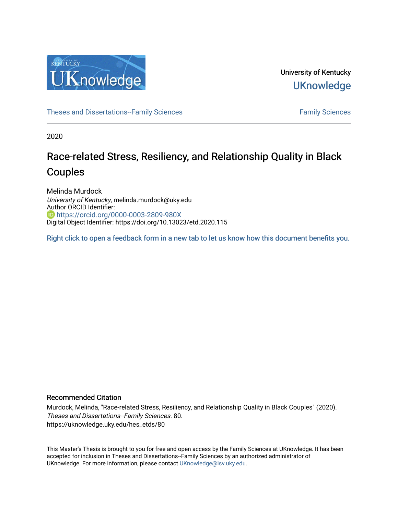

University of Kentucky **UKnowledge** 

[Theses and Dissertations--Family Sciences](https://uknowledge.uky.edu/hes_etds) [Family Sciences](https://uknowledge.uky.edu/hes) Family Sciences

2020

# Race-related Stress, Resiliency, and Relationship Quality in Black Couples

Melinda Murdock University of Kentucky, melinda.murdock@uky.edu Author ORCID Identifier: **b** <https://orcid.org/0000-0003-2809-980X> Digital Object Identifier: https://doi.org/10.13023/etd.2020.115

[Right click to open a feedback form in a new tab to let us know how this document benefits you.](https://uky.az1.qualtrics.com/jfe/form/SV_9mq8fx2GnONRfz7)

#### Recommended Citation

Murdock, Melinda, "Race-related Stress, Resiliency, and Relationship Quality in Black Couples" (2020). Theses and Dissertations--Family Sciences. 80. https://uknowledge.uky.edu/hes\_etds/80

This Master's Thesis is brought to you for free and open access by the Family Sciences at UKnowledge. It has been accepted for inclusion in Theses and Dissertations--Family Sciences by an authorized administrator of UKnowledge. For more information, please contact [UKnowledge@lsv.uky.edu](mailto:UKnowledge@lsv.uky.edu).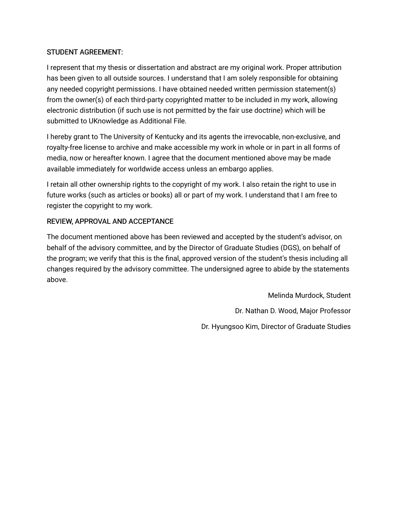# STUDENT AGREEMENT:

I represent that my thesis or dissertation and abstract are my original work. Proper attribution has been given to all outside sources. I understand that I am solely responsible for obtaining any needed copyright permissions. I have obtained needed written permission statement(s) from the owner(s) of each third-party copyrighted matter to be included in my work, allowing electronic distribution (if such use is not permitted by the fair use doctrine) which will be submitted to UKnowledge as Additional File.

I hereby grant to The University of Kentucky and its agents the irrevocable, non-exclusive, and royalty-free license to archive and make accessible my work in whole or in part in all forms of media, now or hereafter known. I agree that the document mentioned above may be made available immediately for worldwide access unless an embargo applies.

I retain all other ownership rights to the copyright of my work. I also retain the right to use in future works (such as articles or books) all or part of my work. I understand that I am free to register the copyright to my work.

# REVIEW, APPROVAL AND ACCEPTANCE

The document mentioned above has been reviewed and accepted by the student's advisor, on behalf of the advisory committee, and by the Director of Graduate Studies (DGS), on behalf of the program; we verify that this is the final, approved version of the student's thesis including all changes required by the advisory committee. The undersigned agree to abide by the statements above.

> Melinda Murdock, Student Dr. Nathan D. Wood, Major Professor Dr. Hyungsoo Kim, Director of Graduate Studies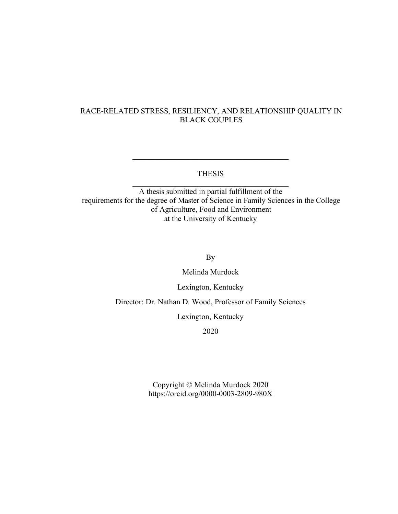# RACE-RELATED STRESS, RESILIENCY, AND RELATIONSHIP QUALITY IN BLACK COUPLES

### THESIS  $\mathcal{L}_\text{max}$  and  $\mathcal{L}_\text{max}$  and  $\mathcal{L}_\text{max}$  and  $\mathcal{L}_\text{max}$

 $\overline{\mathcal{L}}$  , and the state of the state of the state of the state of the state of the state of the state of the state of the state of the state of the state of the state of the state of the state of the state of the stat

A thesis submitted in partial fulfillment of the requirements for the degree of Master of Science in Family Sciences in the College of Agriculture, Food and Environment at the University of Kentucky

By

Melinda Murdock

Lexington, Kentucky

Director: Dr. Nathan D. Wood, Professor of Family Sciences

Lexington, Kentucky

2020

Copyright © Melinda Murdock 2020 https://orcid.org/0000-0003-2809-980X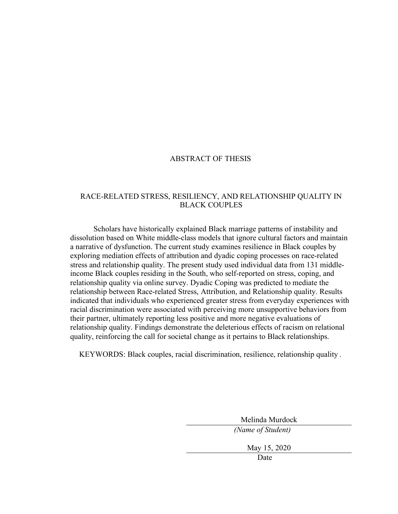### ABSTRACT OF THESIS

## RACE-RELATED STRESS, RESILIENCY, AND RELATIONSHIP QUALITY IN BLACK COUPLES

Scholars have historically explained Black marriage patterns of instability and dissolution based on White middle-class models that ignore cultural factors and maintain a narrative of dysfunction. The current study examines resilience in Black couples by exploring mediation effects of attribution and dyadic coping processes on race-related stress and relationship quality. The present study used individual data from 131 middleincome Black couples residing in the South, who self-reported on stress, coping, and relationship quality via online survey. Dyadic Coping was predicted to mediate the relationship between Race-related Stress, Attribution, and Relationship quality. Results indicated that individuals who experienced greater stress from everyday experiences with racial discrimination were associated with perceiving more unsupportive behaviors from their partner, ultimately reporting less positive and more negative evaluations of relationship quality. Findings demonstrate the deleterious effects of racism on relational quality, reinforcing the call for societal change as it pertains to Black relationships.

KEYWORDS: Black couples, racial discrimination, resilience, relationship quality *.*

Melinda Murdock

*(Name of Student)*

May 15, 2020

Date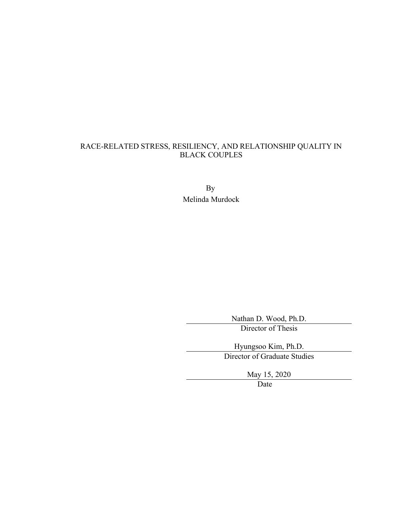# RACE-RELATED STRESS, RESILIENCY, AND RELATIONSHIP QUALITY IN BLACK COUPLES

By Melinda Murdock

Nathan D. Wood, Ph.D.

Director of Thesis

Hyungsoo Kim, Ph.D. Director of Graduate Studies

May 15, 2020

Date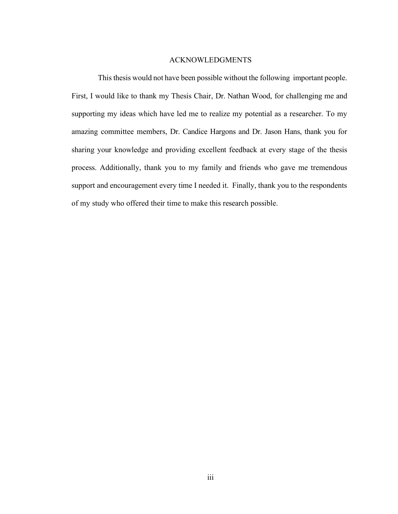#### ACKNOWLEDGMENTS

<span id="page-5-0"></span>This thesis would not have been possible without the following important people. First, I would like to thank my Thesis Chair, Dr. Nathan Wood, for challenging me and supporting my ideas which have led me to realize my potential as a researcher. To my amazing committee members, Dr. Candice Hargons and Dr. Jason Hans, thank you for sharing your knowledge and providing excellent feedback at every stage of the thesis process. Additionally, thank you to my family and friends who gave me tremendous support and encouragement every time I needed it. Finally, thank you to the respondents of my study who offered their time to make this research possible.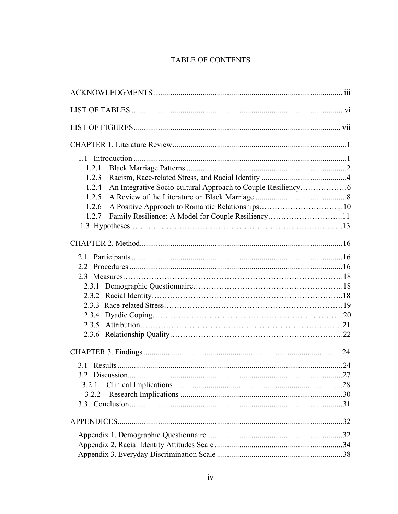# TABLE OF CONTENTS

| 1.2.1                                                       |  |
|-------------------------------------------------------------|--|
| 1.2.3                                                       |  |
| 1.2.4                                                       |  |
| 1.2.5                                                       |  |
| 1.2.6                                                       |  |
| Family Resilience: A Model for Couple Resiliency11<br>1.2.7 |  |
|                                                             |  |
|                                                             |  |
|                                                             |  |
|                                                             |  |
|                                                             |  |
|                                                             |  |
|                                                             |  |
|                                                             |  |
|                                                             |  |
|                                                             |  |
|                                                             |  |
|                                                             |  |
|                                                             |  |
|                                                             |  |
|                                                             |  |
| 3.2.1                                                       |  |
| 3.2.2                                                       |  |
|                                                             |  |
|                                                             |  |
|                                                             |  |
|                                                             |  |
|                                                             |  |
|                                                             |  |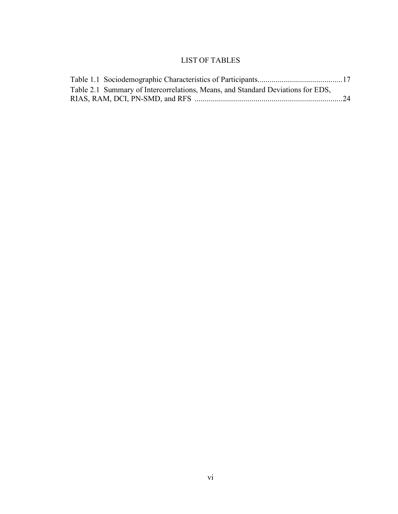# LIST OF TABLES

<span id="page-8-0"></span>

| Table 2.1 Summary of Intercorrelations, Means, and Standard Deviations for EDS, |  |
|---------------------------------------------------------------------------------|--|
|                                                                                 |  |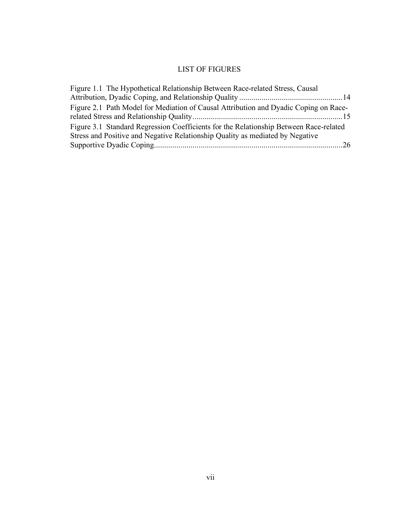# LIST OF FIGURES

<span id="page-9-0"></span>

| Figure 1.1 The Hypothetical Relationship Between Race-related Stress, Causal          |  |
|---------------------------------------------------------------------------------------|--|
|                                                                                       |  |
| Figure 2.1 Path Model for Mediation of Causal Attribution and Dyadic Coping on Race-  |  |
|                                                                                       |  |
| Figure 3.1 Standard Regression Coefficients for the Relationship Between Race-related |  |
| Stress and Positive and Negative Relationship Quality as mediated by Negative         |  |
|                                                                                       |  |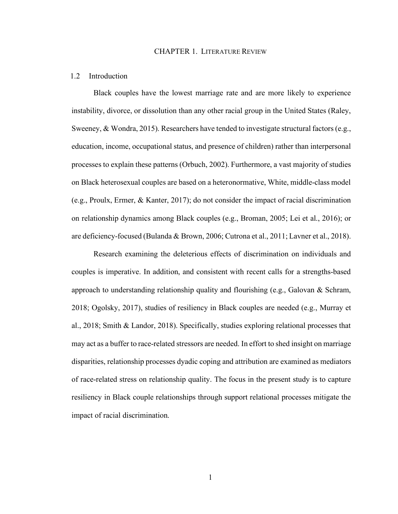#### CHAPTER 1. LITERATURE REVIEW

#### <span id="page-10-1"></span><span id="page-10-0"></span>1.2 Introduction

Black couples have the lowest marriage rate and are more likely to experience instability, divorce, or dissolution than any other racial group in the United States (Raley, Sweeney, & Wondra, 2015). Researchers have tended to investigate structural factors (e.g., education, income, occupational status, and presence of children) rather than interpersonal processes to explain these patterns (Orbuch, 2002). Furthermore, a vast majority of studies on Black heterosexual couples are based on a heteronormative, White, middle-class model (e.g., Proulx, Ermer, & Kanter, 2017); do not consider the impact of racial discrimination on relationship dynamics among Black couples (e.g., Broman, 2005; Lei et al., 2016); or are deficiency-focused (Bulanda & Brown, 2006; Cutrona et al., 2011; Lavner et al., 2018).

Research examining the deleterious effects of discrimination on individuals and couples is imperative. In addition, and consistent with recent calls for a strengths-based approach to understanding relationship quality and flourishing  $(e.g., Galovan & Schram,$ 2018; Ogolsky, 2017), studies of resiliency in Black couples are needed (e.g., Murray et al., 2018; Smith & Landor, 2018). Specifically, studies exploring relational processes that may act as a buffer to race-related stressors are needed. In effort to shed insight on marriage disparities, relationship processes dyadic coping and attribution are examined as mediators of race-related stress on relationship quality. The focus in the present study is to capture resiliency in Black couple relationships through support relational processes mitigate the impact of racial discrimination.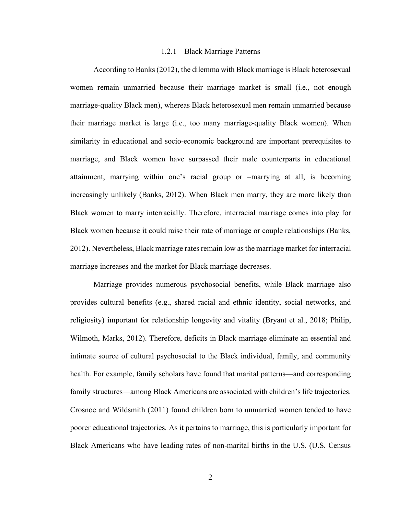#### 1.2.1 Black Marriage Patterns

<span id="page-11-0"></span>According to Banks (2012), the dilemma with Black marriage is Black heterosexual women remain unmarried because their marriage market is small (i.e., not enough marriage-quality Black men), whereas Black heterosexual men remain unmarried because their marriage market is large (i.e., too many marriage-quality Black women). When similarity in educational and socio-economic background are important prerequisites to marriage, and Black women have surpassed their male counterparts in educational attainment, marrying within one's racial group or –marrying at all, is becoming increasingly unlikely (Banks, 2012). When Black men marry, they are more likely than Black women to marry interracially. Therefore, interracial marriage comes into play for Black women because it could raise their rate of marriage or couple relationships (Banks, 2012). Nevertheless, Black marriage rates remain low as the marriage market for interracial marriage increases and the market for Black marriage decreases.

Marriage provides numerous psychosocial benefits, while Black marriage also provides cultural benefits (e.g., shared racial and ethnic identity, social networks, and religiosity) important for relationship longevity and vitality (Bryant et al., 2018; Philip, Wilmoth, Marks, 2012). Therefore, deficits in Black marriage eliminate an essential and intimate source of cultural psychosocial to the Black individual, family, and community health. For example, family scholars have found that marital patterns—and corresponding family structures—among Black Americans are associated with children's life trajectories. Crosnoe and Wildsmith (2011) found children born to unmarried women tended to have poorer educational trajectories. As it pertains to marriage, this is particularly important for Black Americans who have leading rates of non-marital births in the U.S. (U.S. Census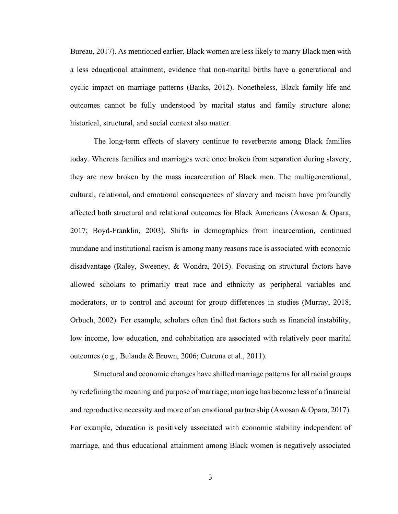Bureau, 2017). As mentioned earlier, Black women are less likely to marry Black men with a less educational attainment, evidence that non-marital births have a generational and cyclic impact on marriage patterns (Banks, 2012). Nonetheless, Black family life and outcomes cannot be fully understood by marital status and family structure alone; historical, structural, and social context also matter.

The long-term effects of slavery continue to reverberate among Black families today. Whereas families and marriages were once broken from separation during slavery, they are now broken by the mass incarceration of Black men. The multigenerational, cultural, relational, and emotional consequences of slavery and racism have profoundly affected both structural and relational outcomes for Black Americans (Awosan & Opara, 2017; Boyd-Franklin, 2003). Shifts in demographics from incarceration, continued mundane and institutional racism is among many reasons race is associated with economic disadvantage (Raley, Sweeney, & Wondra, 2015). Focusing on structural factors have allowed scholars to primarily treat race and ethnicity as peripheral variables and moderators, or to control and account for group differences in studies (Murray, 2018; Orbuch, 2002). For example, scholars often find that factors such as financial instability, low income, low education, and cohabitation are associated with relatively poor marital outcomes (e.g., Bulanda & Brown, 2006; Cutrona et al., 2011).

Structural and economic changes have shifted marriage patterns for all racial groups by redefining the meaning and purpose of marriage; marriage has become less of a financial and reproductive necessity and more of an emotional partnership (Awosan & Opara, 2017). For example, education is positively associated with economic stability independent of marriage, and thus educational attainment among Black women is negatively associated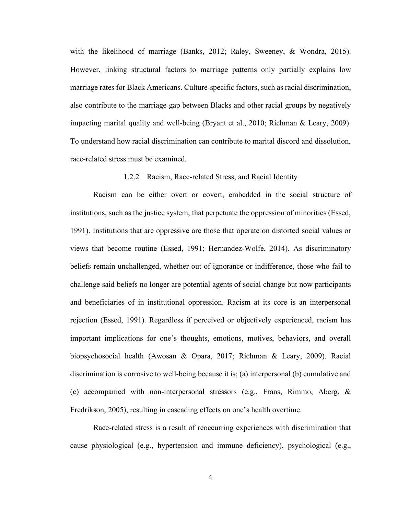with the likelihood of marriage (Banks, 2012; Raley, Sweeney, & Wondra, 2015). However, linking structural factors to marriage patterns only partially explains low marriage rates for Black Americans. Culture-specific factors, such as racial discrimination, also contribute to the marriage gap between Blacks and other racial groups by negatively impacting marital quality and well-being (Bryant et al., 2010; Richman & Leary, 2009). To understand how racial discrimination can contribute to marital discord and dissolution, race-related stress must be examined.

#### 1.2.2 Racism, Race-related Stress, and Racial Identity

<span id="page-13-0"></span>Racism can be either overt or covert, embedded in the social structure of institutions, such as the justice system, that perpetuate the oppression of minorities (Essed, 1991). Institutions that are oppressive are those that operate on distorted social values or views that become routine (Essed, 1991; Hernandez-Wolfe, 2014). As discriminatory beliefs remain unchallenged, whether out of ignorance or indifference, those who fail to challenge said beliefs no longer are potential agents of social change but now participants and beneficiaries of in institutional oppression. Racism at its core is an interpersonal rejection (Essed, 1991). Regardless if perceived or objectively experienced, racism has important implications for one's thoughts, emotions, motives, behaviors, and overall biopsychosocial health (Awosan & Opara, 2017; Richman & Leary, 2009). Racial discrimination is corrosive to well-being because it is; (a) interpersonal (b) cumulative and (c) accompanied with non-interpersonal stressors (e.g., Frans, Rimmo, Aberg, & Fredrikson, 2005), resulting in cascading effects on one's health overtime.

Race-related stress is a result of reoccurring experiences with discrimination that cause physiological (e.g., hypertension and immune deficiency), psychological (e.g.,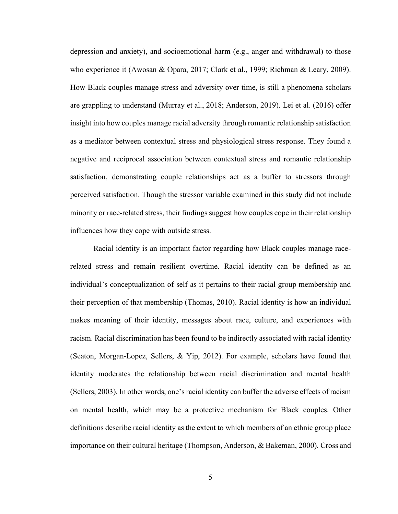depression and anxiety), and socioemotional harm (e.g., anger and withdrawal) to those who experience it (Awosan & Opara, 2017; Clark et al., 1999; Richman & Leary, 2009). How Black couples manage stress and adversity over time, is still a phenomena scholars are grappling to understand (Murray et al., 2018; Anderson, 2019). Lei et al. (2016) offer insight into how couples manage racial adversity through romantic relationship satisfaction as a mediator between contextual stress and physiological stress response. They found a negative and reciprocal association between contextual stress and romantic relationship satisfaction, demonstrating couple relationships act as a buffer to stressors through perceived satisfaction. Though the stressor variable examined in this study did not include minority or race-related stress, their findings suggest how couples cope in their relationship influences how they cope with outside stress.

Racial identity is an important factor regarding how Black couples manage racerelated stress and remain resilient overtime. Racial identity can be defined as an individual's conceptualization of self as it pertains to their racial group membership and their perception of that membership (Thomas, 2010). Racial identity is how an individual makes meaning of their identity, messages about race, culture, and experiences with racism. Racial discrimination has been found to be indirectly associated with racial identity (Seaton, Morgan-Lopez, Sellers, & Yip, 2012). For example, scholars have found that identity moderates the relationship between racial discrimination and mental health (Sellers, 2003). In other words, one's racial identity can buffer the adverse effects of racism on mental health, which may be a protective mechanism for Black couples. Other definitions describe racial identity as the extent to which members of an ethnic group place importance on their cultural heritage (Thompson, Anderson, & Bakeman, 2000). Cross and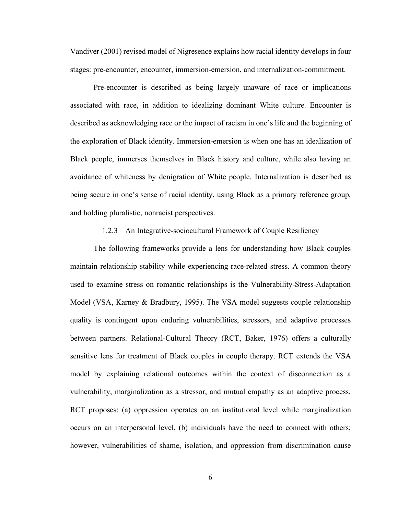Vandiver (2001) revised model of Nigresence explains how racial identity develops in four stages: pre-encounter, encounter, immersion-emersion, and internalization-commitment.

Pre-encounter is described as being largely unaware of race or implications associated with race, in addition to idealizing dominant White culture. Encounter is described as acknowledging race or the impact of racism in one's life and the beginning of the exploration of Black identity. Immersion-emersion is when one has an idealization of Black people, immerses themselves in Black history and culture, while also having an avoidance of whiteness by denigration of White people. Internalization is described as being secure in one's sense of racial identity, using Black as a primary reference group, and holding pluralistic, nonracist perspectives.

#### 1.2.3 An Integrative-sociocultural Framework of Couple Resiliency

<span id="page-15-0"></span>The following frameworks provide a lens for understanding how Black couples maintain relationship stability while experiencing race-related stress. A common theory used to examine stress on romantic relationships is the Vulnerability-Stress-Adaptation Model (VSA, Karney & Bradbury, 1995). The VSA model suggests couple relationship quality is contingent upon enduring vulnerabilities, stressors, and adaptive processes between partners. Relational-Cultural Theory (RCT, Baker, 1976) offers a culturally sensitive lens for treatment of Black couples in couple therapy. RCT extends the VSA model by explaining relational outcomes within the context of disconnection as a vulnerability, marginalization as a stressor, and mutual empathy as an adaptive process. RCT proposes: (a) oppression operates on an institutional level while marginalization occurs on an interpersonal level, (b) individuals have the need to connect with others; however, vulnerabilities of shame, isolation, and oppression from discrimination cause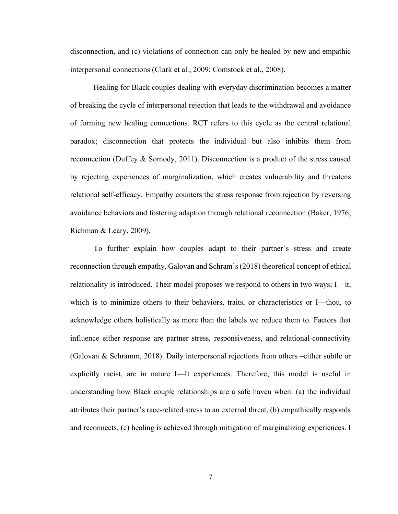disconnection, and (c) violations of connection can only be healed by new and empathic interpersonal connections (Clark et al., 2009; Comstock et al., 2008).

Healing for Black couples dealing with everyday discrimination becomes a matter of breaking the cycle of interpersonal rejection that leads to the withdrawal and avoidance of forming new healing connections. RCT refers to this cycle as the central relational paradox; disconnection that protects the individual but also inhibits them from reconnection (Duffey & Somody, 2011). Disconnection is a product of the stress caused by rejecting experiences of marginalization, which creates vulnerability and threatens relational self-efficacy. Empathy counters the stress response from rejection by reversing avoidance behaviors and fostering adaption through relational reconnection (Baker, 1976; Richman & Leary, 2009).

To further explain how couples adapt to their partner's stress and create reconnection through empathy, Galovan and Schram's (2018) theoretical concept of ethical relationality is introduced. Their model proposes we respond to others in two ways; I—it, which is to minimize others to their behaviors, traits, or characteristics or I—thou, to acknowledge others holistically as more than the labels we reduce them to. Factors that influence either response are partner stress, responsiveness, and relational-connectivity (Galovan & Schramm, 2018). Daily interpersonal rejections from others –either subtle or explicitly racist, are in nature I—It experiences. Therefore, this model is useful in understanding how Black couple relationships are a safe haven when: (a) the individual attributes their partner's race-related stress to an external threat, (b) empathically responds and reconnects, (c) healing is achieved through mitigation of marginalizing experiences. I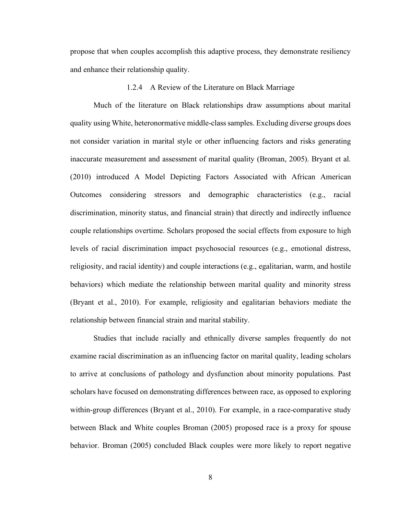propose that when couples accomplish this adaptive process, they demonstrate resiliency and enhance their relationship quality.

#### 1.2.4 A Review of the Literature on Black Marriage

<span id="page-17-0"></span>Much of the literature on Black relationships draw assumptions about marital quality using White, heteronormative middle-class samples. Excluding diverse groups does not consider variation in marital style or other influencing factors and risks generating inaccurate measurement and assessment of marital quality (Broman, 2005). Bryant et al. (2010) introduced A Model Depicting Factors Associated with African American Outcomes considering stressors and demographic characteristics (e.g., racial discrimination, minority status, and financial strain) that directly and indirectly influence couple relationships overtime. Scholars proposed the social effects from exposure to high levels of racial discrimination impact psychosocial resources (e.g., emotional distress, religiosity, and racial identity) and couple interactions (e.g., egalitarian, warm, and hostile behaviors) which mediate the relationship between marital quality and minority stress (Bryant et al., 2010). For example, religiosity and egalitarian behaviors mediate the relationship between financial strain and marital stability.

Studies that include racially and ethnically diverse samples frequently do not examine racial discrimination as an influencing factor on marital quality, leading scholars to arrive at conclusions of pathology and dysfunction about minority populations. Past scholars have focused on demonstrating differences between race, as opposed to exploring within-group differences (Bryant et al., 2010). For example, in a race-comparative study between Black and White couples Broman (2005) proposed race is a proxy for spouse behavior. Broman (2005) concluded Black couples were more likely to report negative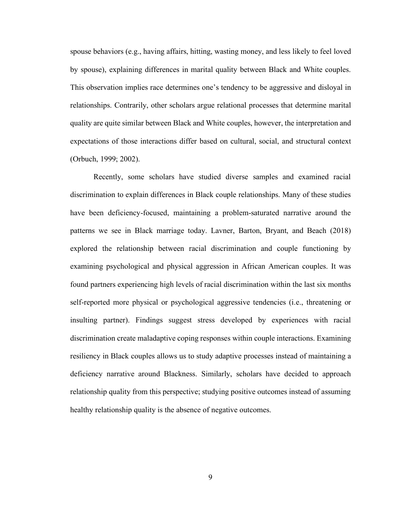spouse behaviors (e.g., having affairs, hitting, wasting money, and less likely to feel loved by spouse), explaining differences in marital quality between Black and White couples. This observation implies race determines one's tendency to be aggressive and disloyal in relationships. Contrarily, other scholars argue relational processes that determine marital quality are quite similar between Black and White couples, however, the interpretation and expectations of those interactions differ based on cultural, social, and structural context (Orbuch, 1999; 2002).

Recently, some scholars have studied diverse samples and examined racial discrimination to explain differences in Black couple relationships. Many of these studies have been deficiency-focused, maintaining a problem-saturated narrative around the patterns we see in Black marriage today. Lavner, Barton, Bryant, and Beach (2018) explored the relationship between racial discrimination and couple functioning by examining psychological and physical aggression in African American couples. It was found partners experiencing high levels of racial discrimination within the last six months self-reported more physical or psychological aggressive tendencies (i.e., threatening or insulting partner). Findings suggest stress developed by experiences with racial discrimination create maladaptive coping responses within couple interactions. Examining resiliency in Black couples allows us to study adaptive processes instead of maintaining a deficiency narrative around Blackness. Similarly, scholars have decided to approach relationship quality from this perspective; studying positive outcomes instead of assuming healthy relationship quality is the absence of negative outcomes.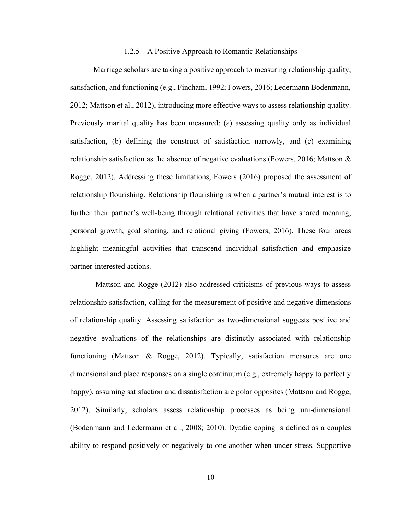#### 1.2.5 A Positive Approach to Romantic Relationships

<span id="page-19-0"></span>Marriage scholars are taking a positive approach to measuring relationship quality, satisfaction, and functioning (e.g., Fincham, 1992; Fowers, 2016; Ledermann Bodenmann, 2012; Mattson et al., 2012), introducing more effective ways to assess relationship quality. Previously marital quality has been measured; (a) assessing quality only as individual satisfaction, (b) defining the construct of satisfaction narrowly, and (c) examining relationship satisfaction as the absence of negative evaluations (Fowers, 2016; Mattson  $\&$ Rogge, 2012). Addressing these limitations, Fowers (2016) proposed the assessment of relationship flourishing. Relationship flourishing is when a partner's mutual interest is to further their partner's well-being through relational activities that have shared meaning, personal growth, goal sharing, and relational giving (Fowers, 2016). These four areas highlight meaningful activities that transcend individual satisfaction and emphasize partner-interested actions.

Mattson and Rogge (2012) also addressed criticisms of previous ways to assess relationship satisfaction, calling for the measurement of positive and negative dimensions of relationship quality. Assessing satisfaction as two-dimensional suggests positive and negative evaluations of the relationships are distinctly associated with relationship functioning (Mattson & Rogge, 2012). Typically, satisfaction measures are one dimensional and place responses on a single continuum (e.g., extremely happy to perfectly happy), assuming satisfaction and dissatisfaction are polar opposites (Mattson and Rogge, 2012). Similarly, scholars assess relationship processes as being uni-dimensional (Bodenmann and Ledermann et al., 2008; 2010). Dyadic coping is defined as a couples ability to respond positively or negatively to one another when under stress. Supportive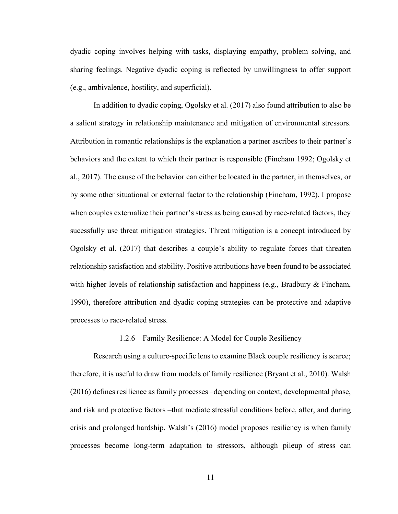dyadic coping involves helping with tasks, displaying empathy, problem solving, and sharing feelings. Negative dyadic coping is reflected by unwillingness to offer support (e.g., ambivalence, hostility, and superficial).

In addition to dyadic coping, Ogolsky et al. (2017) also found attribution to also be a salient strategy in relationship maintenance and mitigation of environmental stressors. Attribution in romantic relationships is the explanation a partner ascribes to their partner's behaviors and the extent to which their partner is responsible (Fincham 1992; Ogolsky et al., 2017). The cause of the behavior can either be located in the partner, in themselves, or by some other situational or external factor to the relationship (Fincham, 1992). I propose when couples externalize their partner's stress as being caused by race-related factors, they sucessfully use threat mitigation strategies. Threat mitigation is a concept introduced by Ogolsky et al. (2017) that describes a couple's ability to regulate forces that threaten relationship satisfaction and stability. Positive attributions have been found to be associated with higher levels of relationship satisfaction and happiness (e.g., Bradbury  $\&$  Fincham, 1990), therefore attribution and dyadic coping strategies can be protective and adaptive processes to race-related stress.

#### 1.2.6 Family Resilience: A Model for Couple Resiliency

<span id="page-20-0"></span>Research using a culture-specific lens to examine Black couple resiliency is scarce; therefore, it is useful to draw from models of family resilience (Bryant et al., 2010). Walsh (2016) defines resilience as family processes –depending on context, developmental phase, and risk and protective factors –that mediate stressful conditions before, after, and during crisis and prolonged hardship. Walsh's (2016) model proposes resiliency is when family processes become long-term adaptation to stressors, although pileup of stress can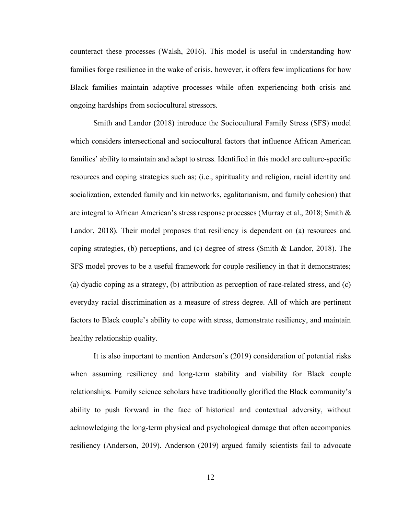counteract these processes (Walsh, 2016). This model is useful in understanding how families forge resilience in the wake of crisis, however, it offers few implications for how Black families maintain adaptive processes while often experiencing both crisis and ongoing hardships from sociocultural stressors.

Smith and Landor (2018) introduce the Sociocultural Family Stress (SFS) model which considers intersectional and sociocultural factors that influence African American families' ability to maintain and adapt to stress. Identified in this model are culture-specific resources and coping strategies such as; (i.e., spirituality and religion, racial identity and socialization, extended family and kin networks, egalitarianism, and family cohesion) that are integral to African American's stress response processes (Murray et al., 2018; Smith & Landor, 2018). Their model proposes that resiliency is dependent on (a) resources and coping strategies, (b) perceptions, and (c) degree of stress (Smith & Landor, 2018). The SFS model proves to be a useful framework for couple resiliency in that it demonstrates; (a) dyadic coping as a strategy, (b) attribution as perception of race-related stress, and (c) everyday racial discrimination as a measure of stress degree. All of which are pertinent factors to Black couple's ability to cope with stress, demonstrate resiliency, and maintain healthy relationship quality.

It is also important to mention Anderson's (2019) consideration of potential risks when assuming resiliency and long-term stability and viability for Black couple relationships. Family science scholars have traditionally glorified the Black community's ability to push forward in the face of historical and contextual adversity, without acknowledging the long-term physical and psychological damage that often accompanies resiliency (Anderson, 2019). Anderson (2019) argued family scientists fail to advocate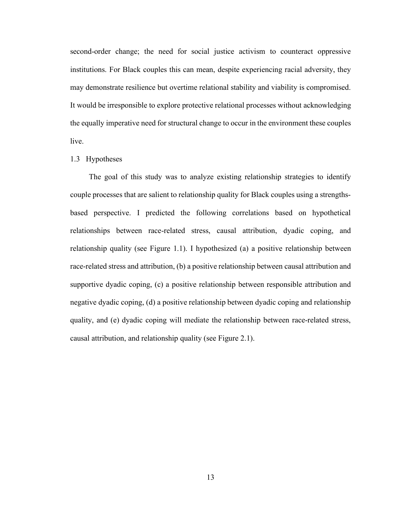second-order change; the need for social justice activism to counteract oppressive institutions. For Black couples this can mean, despite experiencing racial adversity, they may demonstrate resilience but overtime relational stability and viability is compromised. It would be irresponsible to explore protective relational processes without acknowledging the equally imperative need for structural change to occur in the environment these couples live.

#### <span id="page-22-0"></span>1.3 Hypotheses

The goal of this study was to analyze existing relationship strategies to identify couple processes that are salient to relationship quality for Black couples using a strengthsbased perspective. I predicted the following correlations based on hypothetical relationships between race-related stress, causal attribution, dyadic coping, and relationship quality (see Figure 1.1). I hypothesized (a) a positive relationship between race-related stress and attribution, (b) a positive relationship between causal attribution and supportive dyadic coping, (c) a positive relationship between responsible attribution and negative dyadic coping, (d) a positive relationship between dyadic coping and relationship quality, and (e) dyadic coping will mediate the relationship between race-related stress, causal attribution, and relationship quality (see Figure 2.1).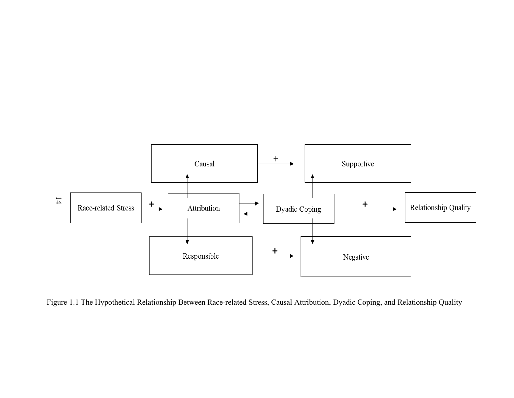

<span id="page-23-0"></span>Figure 1.1 The Hypothetical Relationship Between Race-related Stress, Causal Attribution, Dyadic Coping, and Relationship Quality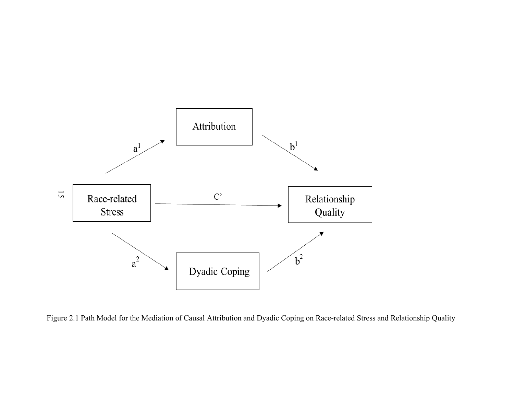

<span id="page-24-0"></span>Figure 2.1 Path Model for the Mediation of Causal Attribution and Dyadic Coping on Race-related Stress and Relationship Quality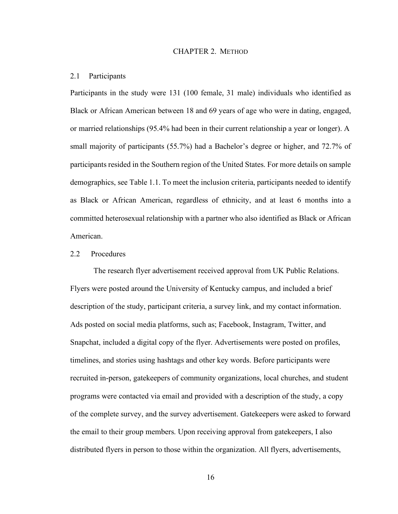#### CHAPTER 2. METHOD

#### <span id="page-25-1"></span><span id="page-25-0"></span>2.1 Participants

Participants in the study were 131 (100 female, 31 male) individuals who identified as Black or African American between 18 and 69 years of age who were in dating, engaged, or married relationships (95.4% had been in their current relationship a year or longer). A small majority of participants (55.7%) had a Bachelor's degree or higher, and 72.7% of participants resided in the Southern region of the United States. For more details on sample demographics, see Table 1.1. To meet the inclusion criteria, participants needed to identify as Black or African American, regardless of ethnicity, and at least 6 months into a committed heterosexual relationship with a partner who also identified as Black or African American.

### <span id="page-25-2"></span>2.2 Procedures

The research flyer advertisement received approval from UK Public Relations. Flyers were posted around the University of Kentucky campus, and included a brief description of the study, participant criteria, a survey link, and my contact information. Ads posted on social media platforms, such as; Facebook, Instagram, Twitter, and Snapchat, included a digital copy of the flyer. Advertisements were posted on profiles, timelines, and stories using hashtags and other key words. Before participants were recruited in-person, gatekeepers of community organizations, local churches, and student programs were contacted via email and provided with a description of the study, a copy of the complete survey, and the survey advertisement. Gatekeepers were asked to forward the email to their group members. Upon receiving approval from gatekeepers, I also distributed flyers in person to those within the organization. All flyers, advertisements,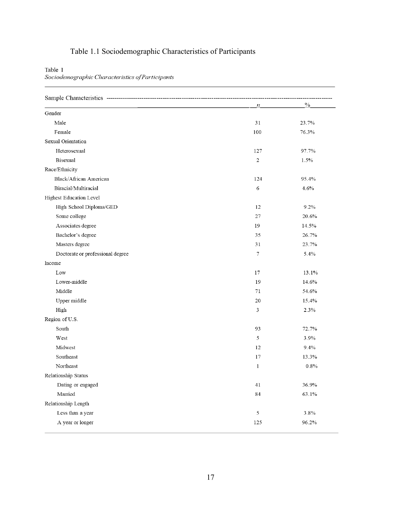# <span id="page-26-0"></span>Table 1.1 Sociodemographic Characteristics of Participants

Table 1<br>Sociodemographic Characteristics of Participants

|                                  | $\boldsymbol{n}$ | $\%$  |
|----------------------------------|------------------|-------|
| Gender                           |                  |       |
| Male                             | 31               | 23.7% |
| Female                           | 100              | 76.3% |
| <b>Sexual Orientation</b>        |                  |       |
| Heterosexual                     | 127              | 97.7% |
| <b>Bisexual</b>                  | 2                | 1.5%  |
| Race/Ethnicity                   |                  |       |
| Black/African American           | 124              | 95.4% |
| Biracial/Multiracial             | 6                | 4.6%  |
| <b>Highest Education Level</b>   |                  |       |
| High School Diploma/GED          | 12               | 9.2%  |
| Some college                     | 27               | 20.6% |
| Associates degree                | 19               | 14.5% |
| Bachelor's degree                | 35               | 26.7% |
| Masters degree                   | 31               | 23.7% |
| Doctorate or professional degree | 7                | 5.4%  |
| Income                           |                  |       |
| Low                              | 17               | 13.1% |
| Lower-middle                     | 19               | 14.6% |
| Middle                           | 71               | 54.6% |
| Upper middle                     | 20               | 15.4% |
| High                             | 3                | 2.3%  |
| Region of U.S.                   |                  |       |
| South                            | 93               | 72.7% |
| West                             | 5                | 3.9%  |
| Midwest                          | 12               | 9.4%  |
| Southeast                        | 17               | 13.3% |
| Northeast                        | $\mathbf{1}$     | 0.8%  |
| Relationship Status              |                  |       |
| Dating or engaged                | 41               | 36.9% |
| Married                          | 84               | 63.1% |
| Relationship Length              |                  |       |
| Less than a year                 | 5                | 3.8%  |
| A year or longer                 | 125              | 96.2% |
|                                  |                  |       |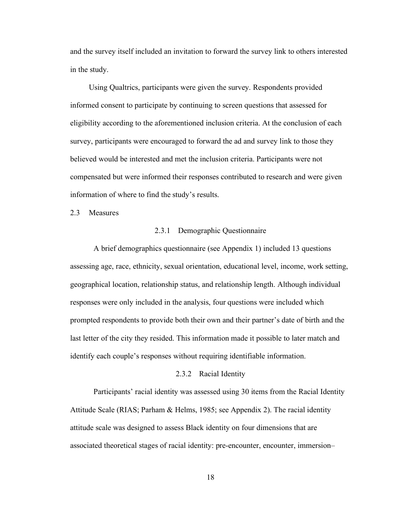and the survey itself included an invitation to forward the survey link to others interested in the study.

Using Qualtrics, participants were given the survey. Respondents provided informed consent to participate by continuing to screen questions that assessed for eligibility according to the aforementioned inclusion criteria. At the conclusion of each survey, participants were encouraged to forward the ad and survey link to those they believed would be interested and met the inclusion criteria. Participants were not compensated but were informed their responses contributed to research and were given information of where to find the study's results.

<span id="page-27-1"></span><span id="page-27-0"></span>2.3 Measures

#### 2.3.1 Demographic Questionnaire

A brief demographics questionnaire (see Appendix 1) included 13 questions assessing age, race, ethnicity, sexual orientation, educational level, income, work setting, geographical location, relationship status, and relationship length. Although individual responses were only included in the analysis, four questions were included which prompted respondents to provide both their own and their partner's date of birth and the last letter of the city they resided. This information made it possible to later match and identify each couple's responses without requiring identifiable information.

#### 2.3.2 Racial Identity

<span id="page-27-2"></span>Participants' racial identity was assessed using 30 items from the Racial Identity Attitude Scale (RIAS; Parham & Helms, 1985; see Appendix 2). The racial identity attitude scale was designed to assess Black identity on four dimensions that are associated theoretical stages of racial identity: pre-encounter, encounter, immersion–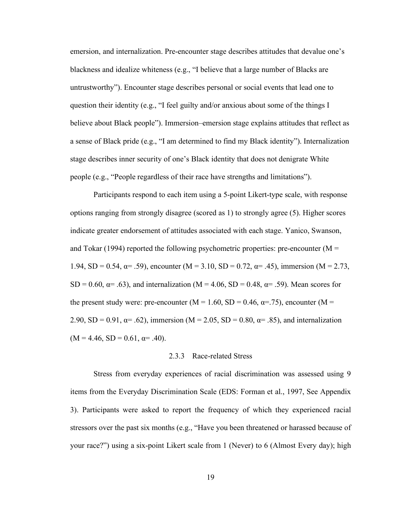emersion, and internalization. Pre-encounter stage describes attitudes that devalue one's blackness and idealize whiteness (e.g., "I believe that a large number of Blacks are untrustworthy"). Encounter stage describes personal or social events that lead one to question their identity (e.g., "I feel guilty and/or anxious about some of the things I believe about Black people"). Immersion–emersion stage explains attitudes that reflect as a sense of Black pride (e.g., "I am determined to find my Black identity"). Internalization stage describes inner security of one's Black identity that does not denigrate White people (e.g., "People regardless of their race have strengths and limitations").

Participants respond to each item using a 5-point Likert-type scale, with response options ranging from strongly disagree (scored as 1) to strongly agree (5). Higher scores indicate greater endorsement of attitudes associated with each stage. Yanico, Swanson, and Tokar (1994) reported the following psychometric properties: pre-encounter ( $M =$ 1.94, SD = 0.54,  $\alpha$ = .59), encounter (M = 3.10, SD = 0.72,  $\alpha$ = .45), immersion (M = 2.73, SD = 0.60,  $\alpha$ = .63), and internalization (M = 4.06, SD = 0.48,  $\alpha$ = .59). Mean scores for the present study were: pre-encounter ( $M = 1.60$ ,  $SD = 0.46$ ,  $\alpha = .75$ ), encounter ( $M =$ 2.90, SD = 0.91,  $\alpha$ = .62), immersion (M = 2.05, SD = 0.80,  $\alpha$ = .85), and internalization  $(M = 4.46, SD = 0.61, \alpha = .40).$ 

#### 2.3.3 Race-related Stress

<span id="page-28-0"></span>Stress from everyday experiences of racial discrimination was assessed using 9 items from the Everyday Discrimination Scale (EDS: Forman et al., 1997, See Appendix 3). Participants were asked to report the frequency of which they experienced racial stressors over the past six months (e.g., "Have you been threatened or harassed because of your race?") using a six-point Likert scale from 1 (Never) to 6 (Almost Every day); high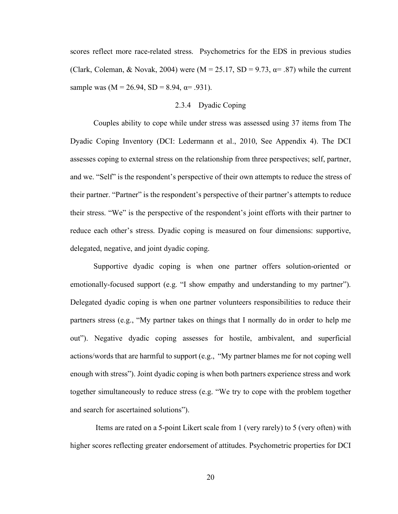scores reflect more race-related stress. Psychometrics for the EDS in previous studies (Clark, Coleman, & Novak, 2004) were (M = 25.17, SD = 9.73,  $\alpha$  = .87) while the current sample was  $(M = 26.94, SD = 8.94, \alpha = .931)$ .

#### 2.3.4 Dyadic Coping

<span id="page-29-0"></span>Couples ability to cope while under stress was assessed using 37 items from The Dyadic Coping Inventory (DCI: Ledermann et al., 2010, See Appendix 4). The DCI assesses coping to external stress on the relationship from three perspectives; self, partner, and we. "Self" is the respondent's perspective of their own attempts to reduce the stress of their partner. "Partner" is the respondent's perspective of their partner's attempts to reduce their stress. "We" is the perspective of the respondent's joint efforts with their partner to reduce each other's stress. Dyadic coping is measured on four dimensions: supportive, delegated, negative, and joint dyadic coping.

Supportive dyadic coping is when one partner offers solution-oriented or emotionally-focused support (e.g. "I show empathy and understanding to my partner"). Delegated dyadic coping is when one partner volunteers responsibilities to reduce their partners stress (e.g., "My partner takes on things that I normally do in order to help me out"). Negative dyadic coping assesses for hostile, ambivalent, and superficial actions/words that are harmful to support (e.g., "My partner blames me for not coping well enough with stress"). Joint dyadic coping is when both partners experience stress and work together simultaneously to reduce stress (e.g. "We try to cope with the problem together and search for ascertained solutions").

Items are rated on a 5-point Likert scale from 1 (very rarely) to 5 (very often) with higher scores reflecting greater endorsement of attitudes. Psychometric properties for DCI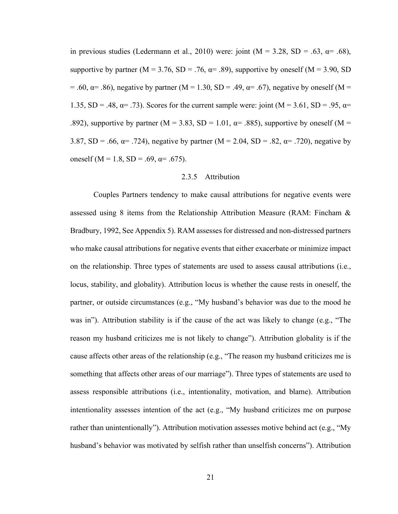in previous studies (Ledermann et al., 2010) were: joint ( $M = 3.28$ , SD = .63,  $\alpha = .68$ ), supportive by partner ( $M = 3.76$ ,  $SD = .76$ ,  $\alpha = .89$ ), supportive by oneself ( $M = 3.90$ , SD = .60,  $\alpha$ = .86), negative by partner (M = 1.30, SD = .49,  $\alpha$ = .67), negative by oneself (M = 1.35, SD = .48,  $\alpha$  = .73). Scores for the current sample were: joint (M = 3.61, SD = .95,  $\alpha$  = .892), supportive by partner (M = 3.83, SD = 1.01,  $\alpha$  = .885), supportive by oneself (M = 3.87, SD = .66,  $\alpha$  = .724), negative by partner (M = 2.04, SD = .82,  $\alpha$  = .720), negative by oneself (M = 1.8, SD = .69,  $\alpha$  = .675).

#### 2.3.5 Attribution

<span id="page-30-0"></span>Couples Partners tendency to make causal attributions for negative events were assessed using 8 items from the Relationship Attribution Measure (RAM: Fincham & Bradbury, 1992, See Appendix 5). RAM assesses for distressed and non-distressed partners who make causal attributions for negative events that either exacerbate or minimize impact on the relationship. Three types of statements are used to assess causal attributions (i.e., locus, stability, and globality). Attribution locus is whether the cause rests in oneself, the partner, or outside circumstances (e.g., "My husband's behavior was due to the mood he was in"). Attribution stability is if the cause of the act was likely to change (e.g., "The reason my husband criticizes me is not likely to change"). Attribution globality is if the cause affects other areas of the relationship (e.g., "The reason my husband criticizes me is something that affects other areas of our marriage"). Three types of statements are used to assess responsible attributions (i.e., intentionality, motivation, and blame). Attribution intentionality assesses intention of the act (e.g., "My husband criticizes me on purpose rather than unintentionally"). Attribution motivation assesses motive behind act (e.g., "My husband's behavior was motivated by selfish rather than unselfish concerns"). Attribution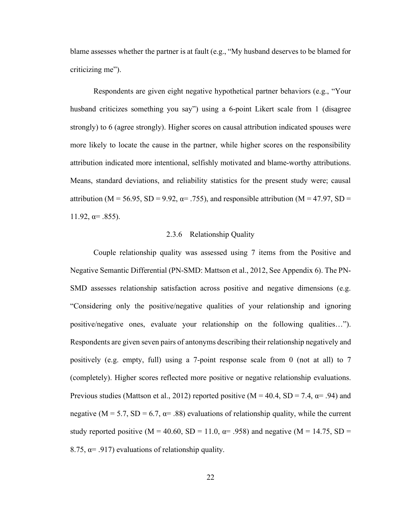blame assesses whether the partner is at fault (e.g., "My husband deserves to be blamed for criticizing me").

Respondents are given eight negative hypothetical partner behaviors (e.g., "Your husband criticizes something you say") using a 6-point Likert scale from 1 (disagree strongly) to 6 (agree strongly). Higher scores on causal attribution indicated spouses were more likely to locate the cause in the partner, while higher scores on the responsibility attribution indicated more intentional, selfishly motivated and blame-worthy attributions. Means, standard deviations, and reliability statistics for the present study were; causal attribution (M = 56.95, SD = 9.92,  $\alpha$  = .755), and responsible attribution (M = 47.97, SD =  $11.92$ ,  $\alpha$ = .855).

#### 2.3.6 Relationship Quality

<span id="page-31-0"></span>Couple relationship quality was assessed using 7 items from the Positive and Negative Semantic Differential (PN-SMD: Mattson et al., 2012, See Appendix 6). The PN-SMD assesses relationship satisfaction across positive and negative dimensions (e.g. "Considering only the positive/negative qualities of your relationship and ignoring positive/negative ones, evaluate your relationship on the following qualities…"). Respondents are given seven pairs of antonyms describing their relationship negatively and positively (e.g. empty, full) using a 7-point response scale from 0 (not at all) to 7 (completely). Higher scores reflected more positive or negative relationship evaluations. Previous studies (Mattson et al., 2012) reported positive ( $M = 40.4$ , SD = 7.4,  $\alpha = .94$ ) and negative ( $M = 5.7$ ,  $SD = 6.7$ ,  $\alpha = .88$ ) evaluations of relationship quality, while the current study reported positive ( $M = 40.60$ ,  $SD = 11.0$ ,  $\alpha = .958$ ) and negative ( $M = 14.75$ ,  $SD =$ 8.75,  $\alpha$ = .917) evaluations of relationship quality.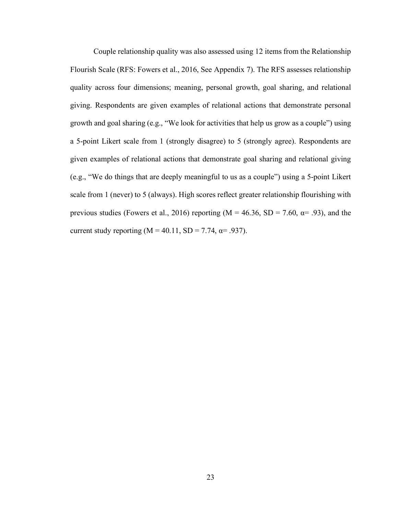Couple relationship quality was also assessed using 12 items from the Relationship Flourish Scale (RFS: Fowers et al., 2016, See Appendix 7). The RFS assesses relationship quality across four dimensions; meaning, personal growth, goal sharing, and relational giving. Respondents are given examples of relational actions that demonstrate personal growth and goal sharing (e.g., "We look for activities that help us grow as a couple") using a 5-point Likert scale from 1 (strongly disagree) to 5 (strongly agree). Respondents are given examples of relational actions that demonstrate goal sharing and relational giving (e.g., "We do things that are deeply meaningful to us as a couple") using a 5-point Likert scale from 1 (never) to 5 (always). High scores reflect greater relationship flourishing with previous studies (Fowers et al., 2016) reporting ( $M = 46.36$ , SD = 7.60,  $\alpha = .93$ ), and the current study reporting ( $M = 40.11$ ,  $SD = 7.74$ ,  $\alpha = .937$ ).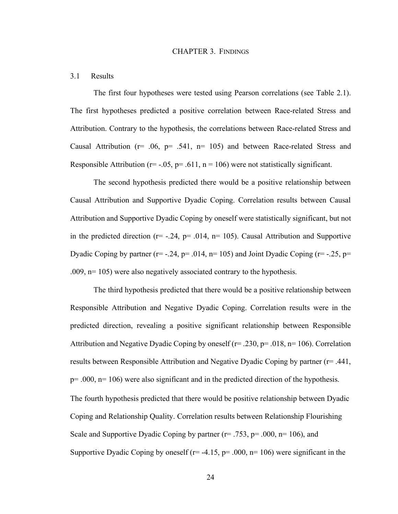#### CHAPTER 3. FINDINGS

#### <span id="page-33-1"></span><span id="page-33-0"></span>3.1 Results

The first four hypotheses were tested using Pearson correlations (see Table 2.1). The first hypotheses predicted a positive correlation between Race-related Stress and Attribution. Contrary to the hypothesis, the correlations between Race-related Stress and Causal Attribution ( $r = .06$ ,  $p = .541$ ,  $n = 105$ ) and between Race-related Stress and Responsible Attribution ( $r = -0.05$ ,  $p = 0.611$ ,  $n = 106$ ) were not statistically significant.

The second hypothesis predicted there would be a positive relationship between Causal Attribution and Supportive Dyadic Coping. Correlation results between Causal Attribution and Supportive Dyadic Coping by oneself were statistically significant, but not in the predicted direction ( $r = -.24$ ,  $p = .014$ ,  $n = 105$ ). Causal Attribution and Supportive Dyadic Coping by partner ( $r = -0.24$ ,  $p = 0.014$ ,  $n = 105$ ) and Joint Dyadic Coping ( $r = -0.25$ ,  $p =$ .009, n= 105) were also negatively associated contrary to the hypothesis.

The third hypothesis predicted that there would be a positive relationship between Responsible Attribution and Negative Dyadic Coping. Correlation results were in the predicted direction, revealing a positive significant relationship between Responsible Attribution and Negative Dyadic Coping by oneself ( $r = .230$ ,  $p = .018$ ,  $n = 106$ ). Correlation results between Responsible Attribution and Negative Dyadic Coping by partner (r= .441,  $p=$  .000,  $n=106$ ) were also significant and in the predicted direction of the hypothesis. The fourth hypothesis predicted that there would be positive relationship between Dyadic Coping and Relationship Quality. Correlation results between Relationship Flourishing Scale and Supportive Dyadic Coping by partner ( $r = .753$ ,  $p = .000$ ,  $n = 106$ ), and Supportive Dyadic Coping by oneself ( $r=$  -4.15,  $p=$  .000,  $n=106$ ) were significant in the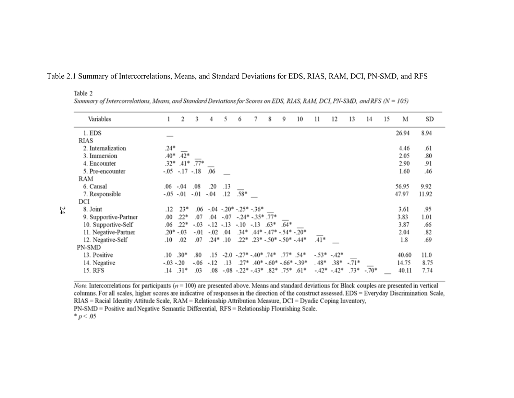<span id="page-34-0"></span>

| Variables             | 1          | 2              | 3      | 4      | 5          | 6                                                     | 7 | 8 | 9                                     | 10 | 11     | 12            | 13      | 14                       | 15 | М     | SD    |
|-----------------------|------------|----------------|--------|--------|------------|-------------------------------------------------------|---|---|---------------------------------------|----|--------|---------------|---------|--------------------------|----|-------|-------|
| 1. EDS                |            |                |        |        |            |                                                       |   |   |                                       |    |        |               |         |                          |    | 26.94 | 8.94  |
| <b>RIAS</b>           |            |                |        |        |            |                                                       |   |   |                                       |    |        |               |         |                          |    |       |       |
| 2. Internalization    | $.24*$     |                |        |        |            |                                                       |   |   |                                       |    |        |               |         |                          |    | 4.46  | .61   |
| 3. Immersion          | $.40*$     | $.42*$         |        |        |            |                                                       |   |   |                                       |    |        |               |         |                          |    | 2.05  | .80   |
| 4. Encounter          | $.32*$     | $.41*$         | $.77*$ |        |            |                                                       |   |   |                                       |    |        |               |         |                          |    | 2.90  | .91   |
| 5. Pre-encounter      |            | $-.05-.17-.18$ |        | .06    |            |                                                       |   |   |                                       |    |        |               |         |                          |    | 1.60  | .46   |
| RAM                   |            |                |        |        |            |                                                       |   |   |                                       |    |        |               |         |                          |    |       |       |
| 6. Causal             | .06        | $-.04$         | .08    | .20    | .13        |                                                       |   |   |                                       |    |        |               |         |                          |    | 56.95 | 9.92  |
| 7. Responsible        | $-.05-.01$ |                | $-.01$ | $-.04$ | .12        | $.58*$                                                |   |   |                                       |    |        |               |         |                          |    | 47.97 | 11.92 |
| DCI                   |            |                |        |        |            |                                                       |   |   |                                       |    |        |               |         |                          |    |       |       |
| 8. Joint              | .12        | $23*$          | .06    |        |            | $-.04$ $-.20*$ $-.25*$ $-.36*$                        |   |   |                                       |    |        |               |         |                          |    | 3.61  | .95   |
| 9. Supportive-Partner | .00.       | $.22*$         | .07    |        |            | $.04$ -.07 -.24* -.35* .77*                           |   |   |                                       |    |        |               |         |                          |    | 3.83  | 1.01  |
| 10. Supportive-Self   | .06        | $.22*$         | $-.03$ |        | $-.12-.13$ | $-.10-.13-.63*$                                       |   |   | $.64*$                                |    |        |               |         |                          |    | 3.87  | .66   |
| 11. Negative-Partner  | $.20*-.03$ |                | $-.01$ | $-.02$ | .04        |                                                       |   |   | $.34*$ $.44*$ $-47*$ $-.54*$ $-20*$   |    |        |               |         |                          |    | 2.04  | .82   |
| 12. Negative-Self     | .10        | .02            | .07    | $.24*$ | .10        |                                                       |   |   | $.22*$ $.23*$ -.50* -.50* -.44*       |    | $.41*$ |               |         |                          |    | 1.8   | .69   |
| PN-SMD                |            |                |        |        |            |                                                       |   |   |                                       |    |        |               |         |                          |    |       |       |
| 13. Positive          | .10        | $.30*$         | .80    | .15    |            | $-2.0$ $-27^*$ $-40^*$ $74^*$ $77^*$ $54^*$           |   |   |                                       |    |        | $-.53*-.42*$  |         |                          |    | 40.60 | 11.0  |
| 14. Negative          | $-.03-.20$ |                | -.06   | $-.12$ | .13        |                                                       |   |   | $.27*$ $.40*$ $-.60*$ $-.66*$ $-.39*$ |    | $.48*$ | $.38*$        | $-.71*$ | $\overline{\phantom{a}}$ |    | 14.75 | 8.75  |
| 15. RFS               | .14        | $.31*$         | .03    | .08    |            | $-0.08$ $-0.22$ * $-0.43$ * $0.82$ * $0.75$ * $0.1$ * |   |   |                                       |    |        | $-42^* -42^*$ | $.73*$  | $-.70*$                  |    | 40.11 | 7.74  |

#### Table 2.1 Summary of Intercorrelations, Means, and Standard Deviations for EDS, RIAS, RAM, DCI, PN-SMD, and RFS

Summary of Intercorrelations, Means, and Standard Deviations for Scores on EDS, RIAS, RAM, DCI, PN-SMD, and RFS (N = 105)

*Note*. Intercorrelations for participants ( $n = 100$ ) are presented above. Means and standard deviations for Black couples are presented in vertical columns. For all scales, higher scores are indicative of responses in the direction of the construct assessed. EDS = Everyday Discrimination Scale, RIAS = Racial Identity Attitude Scale, RAM = Relationship Attribution Measure, DCI = Dyadic Coping Inventory, PN-SMD = Positive and Negative Semantic Differential, RFS = Relationship Flourishing Scale.  $* p < .05$ 

Table 2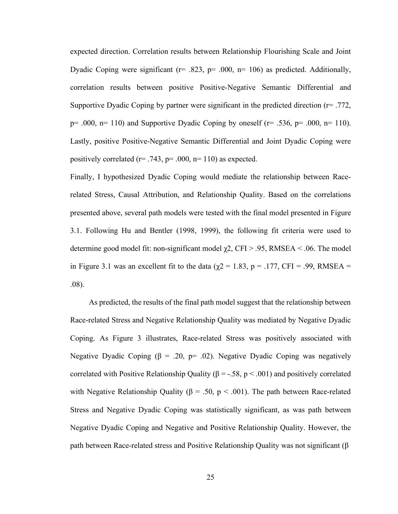expected direction. Correlation results between Relationship Flourishing Scale and Joint Dyadic Coping were significant ( $r = .823$ ,  $p = .000$ ,  $n = 106$ ) as predicted. Additionally, correlation results between positive Positive-Negative Semantic Differential and Supportive Dyadic Coping by partner were significant in the predicted direction  $(r= .772, )$  $p= .000$ ,  $p= 110$ ) and Supportive Dyadic Coping by oneself ( $r= .536$ ,  $p= .000$ ,  $p= 110$ ). Lastly, positive Positive-Negative Semantic Differential and Joint Dyadic Coping were positively correlated ( $r = .743$ ,  $p = .000$ ,  $n = 110$ ) as expected.

Finally, I hypothesized Dyadic Coping would mediate the relationship between Racerelated Stress, Causal Attribution, and Relationship Quality. Based on the correlations presented above, several path models were tested with the final model presented in Figure 3.1. Following Hu and Bentler (1998, 1999), the following fit criteria were used to determine good model fit: non-significant model  $\chi$ 2, CFI > .95, RMSEA < .06. The model in Figure 3.1 was an excellent fit to the data ( $\chi$ 2 = 1.83, p = .177, CFI = .99, RMSEA = .08).

As predicted, the results of the final path model suggest that the relationship between Race-related Stress and Negative Relationship Quality was mediated by Negative Dyadic Coping. As Figure 3 illustrates, Race-related Stress was positively associated with Negative Dyadic Coping ( $\beta$  = .20, p= .02). Negative Dyadic Coping was negatively correlated with Positive Relationship Quality ( $β = -.58, p < .001$ ) and positively correlated with Negative Relationship Quality ( $\beta = .50$ ,  $p < .001$ ). The path between Race-related Stress and Negative Dyadic Coping was statistically significant, as was path between Negative Dyadic Coping and Negative and Positive Relationship Quality. However, the path between Race-related stress and Positive Relationship Quality was not significant (β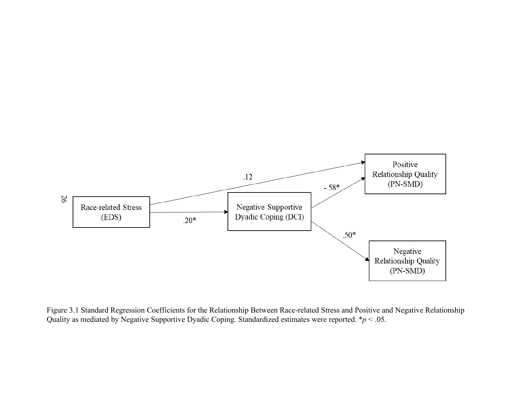

Figure 3.1 Standard Regression Coefficients for the Relationship Between Race-related Stress and Positive and Negative Relationship Quality as mediated by Negative Supportive Dyadic Coping. Standardized estimates were reported. \**p* < .05.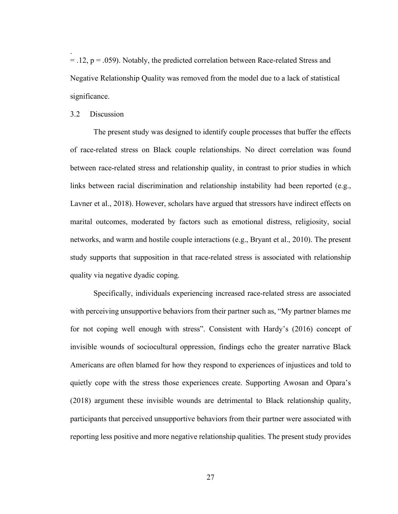$=$  .12,  $p = .059$ ). Notably, the predicted correlation between Race-related Stress and Negative Relationship Quality was removed from the model due to a lack of statistical significance.

## 3.2 Discussion

.

The present study was designed to identify couple processes that buffer the effects of race-related stress on Black couple relationships. No direct correlation was found between race-related stress and relationship quality, in contrast to prior studies in which links between racial discrimination and relationship instability had been reported (e.g., Lavner et al., 2018). However, scholars have argued that stressors have indirect effects on marital outcomes, moderated by factors such as emotional distress, religiosity, social networks, and warm and hostile couple interactions (e.g., Bryant et al., 2010). The present study supports that supposition in that race-related stress is associated with relationship quality via negative dyadic coping.

Specifically, individuals experiencing increased race-related stress are associated with perceiving unsupportive behaviors from their partner such as, "My partner blames me for not coping well enough with stress". Consistent with Hardy's (2016) concept of invisible wounds of sociocultural oppression, findings echo the greater narrative Black Americans are often blamed for how they respond to experiences of injustices and told to quietly cope with the stress those experiences create. Supporting Awosan and Opara's (2018) argument these invisible wounds are detrimental to Black relationship quality, participants that perceived unsupportive behaviors from their partner were associated with reporting less positive and more negative relationship qualities. The present study provides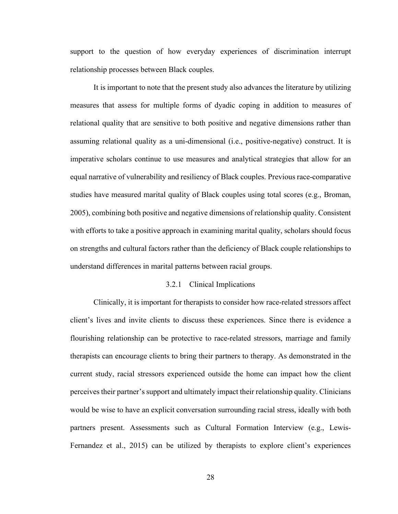support to the question of how everyday experiences of discrimination interrupt relationship processes between Black couples.

It is important to note that the present study also advances the literature by utilizing measures that assess for multiple forms of dyadic coping in addition to measures of relational quality that are sensitive to both positive and negative dimensions rather than assuming relational quality as a uni-dimensional (i.e., positive-negative) construct. It is imperative scholars continue to use measures and analytical strategies that allow for an equal narrative of vulnerability and resiliency of Black couples. Previous race-comparative studies have measured marital quality of Black couples using total scores (e.g., Broman, 2005), combining both positive and negative dimensions of relationship quality. Consistent with efforts to take a positive approach in examining marital quality, scholars should focus on strengths and cultural factors rather than the deficiency of Black couple relationships to understand differences in marital patterns between racial groups.

#### 3.2.1 Clinical Implications

Clinically, it is important for therapists to consider how race-related stressors affect client's lives and invite clients to discuss these experiences. Since there is evidence a flourishing relationship can be protective to race-related stressors, marriage and family therapists can encourage clients to bring their partners to therapy. As demonstrated in the current study, racial stressors experienced outside the home can impact how the client perceives their partner's support and ultimately impact their relationship quality. Clinicians would be wise to have an explicit conversation surrounding racial stress, ideally with both partners present. Assessments such as Cultural Formation Interview (e.g., Lewis-Fernandez et al., 2015) can be utilized by therapists to explore client's experiences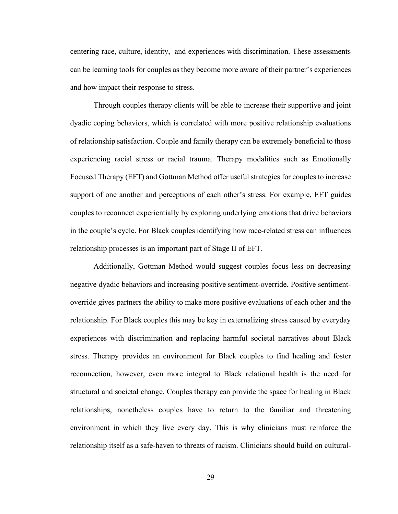centering race, culture, identity, and experiences with discrimination. These assessments can be learning tools for couples as they become more aware of their partner's experiences and how impact their response to stress.

Through couples therapy clients will be able to increase their supportive and joint dyadic coping behaviors, which is correlated with more positive relationship evaluations of relationship satisfaction. Couple and family therapy can be extremely beneficial to those experiencing racial stress or racial trauma. Therapy modalities such as Emotionally Focused Therapy (EFT) and Gottman Method offer useful strategies for couples to increase support of one another and perceptions of each other's stress. For example, EFT guides couples to reconnect experientially by exploring underlying emotions that drive behaviors in the couple's cycle. For Black couples identifying how race-related stress can influences relationship processes is an important part of Stage II of EFT.

Additionally, Gottman Method would suggest couples focus less on decreasing negative dyadic behaviors and increasing positive sentiment-override. Positive sentimentoverride gives partners the ability to make more positive evaluations of each other and the relationship. For Black couples this may be key in externalizing stress caused by everyday experiences with discrimination and replacing harmful societal narratives about Black stress. Therapy provides an environment for Black couples to find healing and foster reconnection, however, even more integral to Black relational health is the need for structural and societal change. Couples therapy can provide the space for healing in Black relationships, nonetheless couples have to return to the familiar and threatening environment in which they live every day. This is why clinicians must reinforce the relationship itself as a safe-haven to threats of racism. Clinicians should build on cultural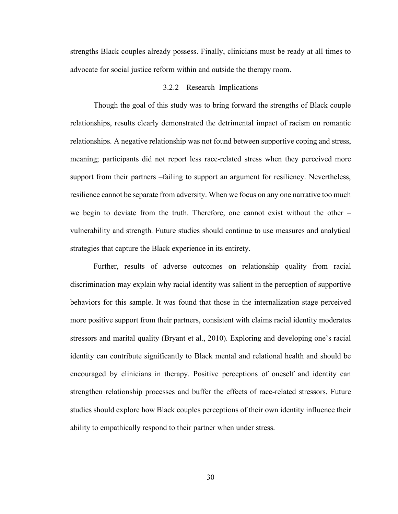strengths Black couples already possess. Finally, clinicians must be ready at all times to advocate for social justice reform within and outside the therapy room.

### 3.2.2 Research Implications

Though the goal of this study was to bring forward the strengths of Black couple relationships, results clearly demonstrated the detrimental impact of racism on romantic relationships. A negative relationship was not found between supportive coping and stress, meaning; participants did not report less race-related stress when they perceived more support from their partners –failing to support an argument for resiliency. Nevertheless, resilience cannot be separate from adversity. When we focus on any one narrative too much we begin to deviate from the truth. Therefore, one cannot exist without the other – vulnerability and strength. Future studies should continue to use measures and analytical strategies that capture the Black experience in its entirety.

Further, results of adverse outcomes on relationship quality from racial discrimination may explain why racial identity was salient in the perception of supportive behaviors for this sample. It was found that those in the internalization stage perceived more positive support from their partners, consistent with claims racial identity moderates stressors and marital quality (Bryant et al., 2010). Exploring and developing one's racial identity can contribute significantly to Black mental and relational health and should be encouraged by clinicians in therapy. Positive perceptions of oneself and identity can strengthen relationship processes and buffer the effects of race-related stressors. Future studies should explore how Black couples perceptions of their own identity influence their ability to empathically respond to their partner when under stress.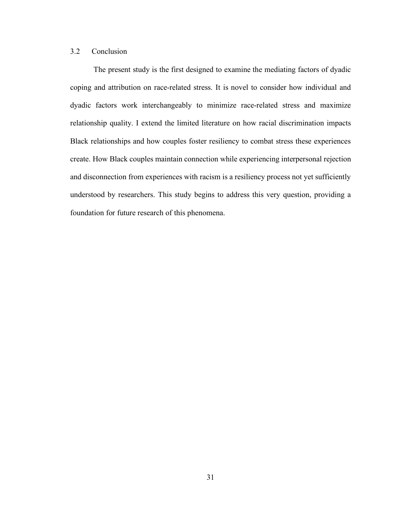# 3.2 Conclusion

The present study is the first designed to examine the mediating factors of dyadic coping and attribution on race-related stress. It is novel to consider how individual and dyadic factors work interchangeably to minimize race-related stress and maximize relationship quality. I extend the limited literature on how racial discrimination impacts Black relationships and how couples foster resiliency to combat stress these experiences create. How Black couples maintain connection while experiencing interpersonal rejection and disconnection from experiences with racism is a resiliency process not yet sufficiently understood by researchers. This study begins to address this very question, providing a foundation for future research of this phenomena.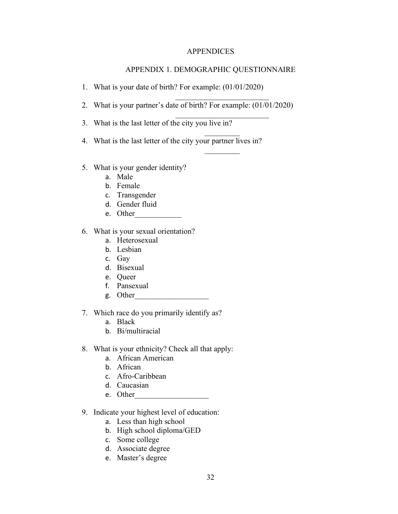### APPENDICES

## APPENDIX 1. DEMOGRAPHIC QUESTIONNAIRE

\_\_\_\_\_\_\_\_\_\_\_\_\_\_\_\_\_\_\_\_\_\_\_\_

 $\frac{1}{2}$ 

 $\frac{1}{2}$ 

- 1. What is your date of birth? For example: (01/01/2020)
- 2. What is your partner's date of birth? For example: (01/01/2020)
- 3. What is the last letter of the city you live in?
- 4. What is the last letter of the city your partner lives in?
- 5. What is your gender identity?
	- a. Male
	- b. Female
	- c. Transgender
	- d. Gender fluid
	- e. Other
- 6. What is your sexual orientation?
	- a. Heterosexual
	- b. Lesbian
	- c. Gay
	- d. Bisexual
	- e. Queer
	- f. Pansexual
	- g. Other\_\_\_\_\_\_\_\_\_\_\_\_\_\_\_\_\_\_\_
- 7. Which race do you primarily identify as?
	- a. Black
	- b. Bi/multiracial
- 8. What is your ethnicity? Check all that apply:
	- a. African American
	- b. African
	- c. Afro-Caribbean
	- d. Caucasian
	- e. Other
- 9. Indicate your highest level of education:
	- a. Less than high school
	- b. High school diploma/GED
	- c. Some college
	- d. Associate degree
	- e. Master's degree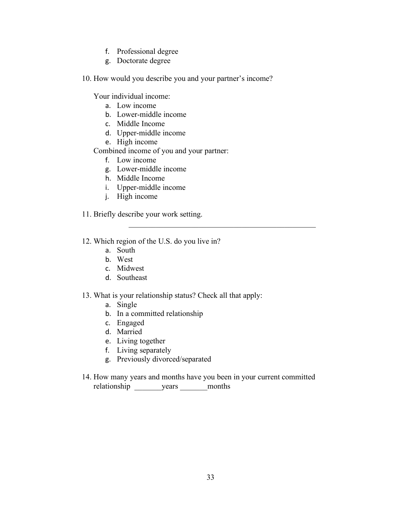- f. Professional degree
- g. Doctorate degree

10. How would you describe you and your partner's income?

Your individual income:

- a. Low income
- b. Lower-middle income
- c. Middle Income
- d. Upper-middle income
- e. High income

Combined income of you and your partner:

- f. Low income
- g. Lower-middle income
- h. Middle Income
- i. Upper-middle income
- j. High income
- 11. Briefly describe your work setting.
- 12. Which region of the U.S. do you live in?
	- a. South
	- b. West
	- c. Midwest
	- d. Southeast
- 13. What is your relationship status? Check all that apply:
	- a. Single
	- b. In a committed relationship
	- c. Engaged
	- d. Married
	- e. Living together
	- f. Living separately
	- g. Previously divorced/separated
- 14. How many years and months have you been in your current committed relationship vears months

 $\mathcal{L}_\mathcal{L}$  , and the contribution of the contribution of the contribution of the contribution of the contribution of the contribution of the contribution of the contribution of the contribution of the contribution of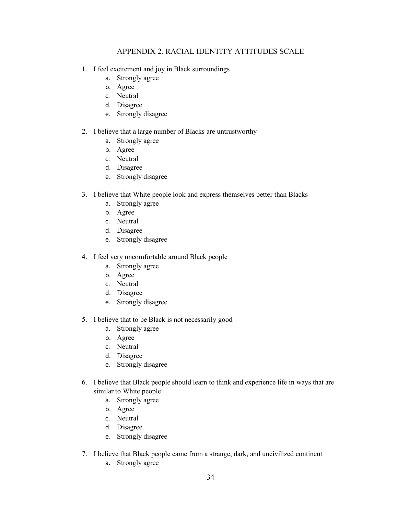## APPENDIX 2. RACIAL IDENTITY ATTITUDES SCALE

- 1. I feel excitement and joy in Black surroundings
	- a. Strongly agree
	- b. Agree
	- c. Neutral
	- d. Disagree
	- e. Strongly disagree

### 2. I believe that a large number of Blacks are untrustworthy

- a. Strongly agree
- b. Agree
- c. Neutral
- d. Disagree
- e. Strongly disagree
- 3. I believe that White people look and express themselves better than Blacks
	- a. Strongly agree
	- b. Agree
	- c. Neutral
	- d. Disagree
	- e. Strongly disagree
- 4. I feel very uncomfortable around Black people
	- a. Strongly agree
	- b. Agree
	- c. Neutral
	- d. Disagree
	- e. Strongly disagree
- 5. I believe that to be Black is not necessarily good
	- a. Strongly agree
	- b. Agree
	- c. Neutral
	- d. Disagree
	- e. Strongly disagree
- 6. I believe that Black people should learn to think and experience life in ways that are similar to White people
	- a. Strongly agree
	- b. Agree
	- c. Neutral
	- d. Disagree
	- e. Strongly disagree
- 7. I believe that Black people came from a strange, dark, and uncivilized continent
	- a. Strongly agree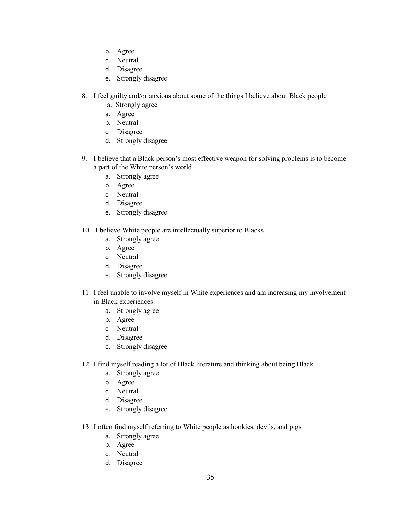- b. Agree
- c. Neutral
- d. Disagree
- e. Strongly disagree
- 8. I feel guilty and/or anxious about some of the things I believe about Black people
	- a. Strongly agree
	- a. Agree
	- b. Neutral
	- c. Disagree
	- d. Strongly disagree
- 9. I believe that a Black person's most effective weapon for solving problems is to become a part of the White person's world
	- a. Strongly agree
	- b. Agree
	- c. Neutral
	- d. Disagree
	- e. Strongly disagree
- 10. I believe White people are intellectually superior to Blacks
	- a. Strongly agree
	- b. Agree
	- c. Neutral
	- d. Disagree
	- e. Strongly disagree
- 11. I feel unable to involve myself in White experiences and am increasing my involvement in Black experiences
	- a. Strongly agree
	- b. Agree
	- c. Neutral
	- d. Disagree
	- e. Strongly disagree
- 12. I find myself reading a lot of Black literature and thinking about being Black
	- a. Strongly agree
	- b. Agree
	- c. Neutral
	- d. Disagree
	- e. Strongly disagree
- 13. I often find myself referring to White people as honkies, devils, and pigs
	- a. Strongly agree
	- b. Agree
	- c. Neutral
	- d. Disagree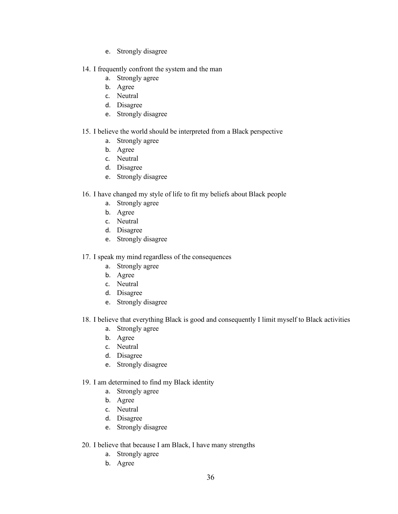- e. Strongly disagree
- 14. I frequently confront the system and the man
	- a. Strongly agree
	- b. Agree
	- c. Neutral
	- d. Disagree
	- e. Strongly disagree

### 15. I believe the world should be interpreted from a Black perspective

- a. Strongly agree
- b. Agree
- c. Neutral
- d. Disagree
- e. Strongly disagree

### 16. I have changed my style of life to fit my beliefs about Black people

- a. Strongly agree
- b. Agree
- c. Neutral
- d. Disagree
- e. Strongly disagree

### 17. I speak my mind regardless of the consequences

- a. Strongly agree
- b. Agree
- c. Neutral
- d. Disagree
- e. Strongly disagree

## 18. I believe that everything Black is good and consequently I limit myself to Black activities

- a. Strongly agree
- b. Agree
- c. Neutral
- d. Disagree
- e. Strongly disagree

### 19. I am determined to find my Black identity

- a. Strongly agree
- b. Agree
- c. Neutral
- d. Disagree
- e. Strongly disagree

### 20. I believe that because I am Black, I have many strengths

- a. Strongly agree
- b. Agree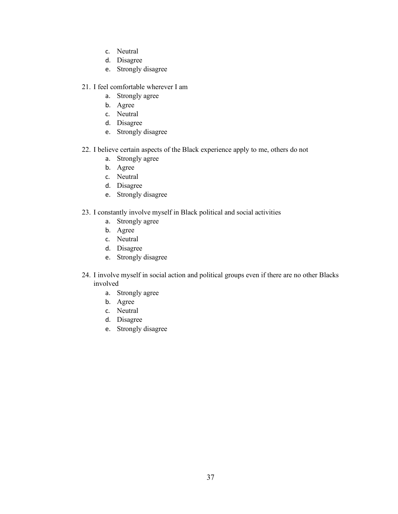- c. Neutral
- d. Disagree
- e. Strongly disagree
- 21. I feel comfortable wherever I am
	- a. Strongly agree
	- b. Agree
	- c. Neutral
	- d. Disagree
	- e. Strongly disagree
- 22. I believe certain aspects of the Black experience apply to me, others do not
	- a. Strongly agree
	- b. Agree
	- c. Neutral
	- d. Disagree
	- e. Strongly disagree
- 23. I constantly involve myself in Black political and social activities
	- a. Strongly agree
	- b. Agree
	- c. Neutral
	- d. Disagree
	- e. Strongly disagree
- 24. I involve myself in social action and political groups even if there are no other Blacks involved
	- a. Strongly agree
	- b. Agree
	- c. Neutral
	- d. Disagree
	- e. Strongly disagree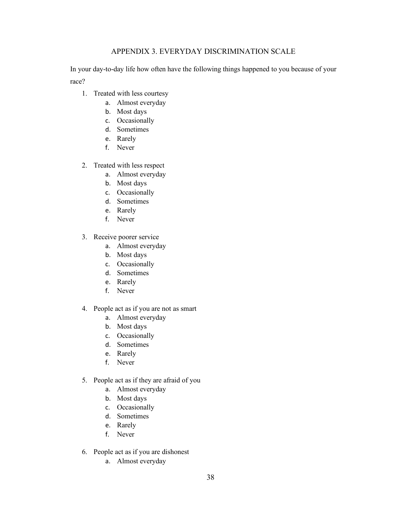## APPENDIX 3. EVERYDAY DISCRIMINATION SCALE

In your day-to-day life how often have the following things happened to you because of your race?

- 1. Treated with less courtesy
	- a. Almost everyday
	- b. Most days
	- c. Occasionally
	- d. Sometimes
	- e. Rarely
	- f. Never
- 2. Treated with less respect
	- a. Almost everyday
	- b. Most days
	- c. Occasionally
	- d. Sometimes
	- e. Rarely
	- f. Never
- 3. Receive poorer service
	- a. Almost everyday
	- b. Most days
	- c. Occasionally
	- d. Sometimes
	- e. Rarely
	- f. Never
- 4. People act as if you are not as smart
	- a. Almost everyday
	- b. Most days
	- c. Occasionally
	- d. Sometimes
	- e. Rarely
	- f. Never
- 5. People act as if they are afraid of you
	- a. Almost everyday
	- b. Most days
	- c. Occasionally
	- d. Sometimes
	- e. Rarely
	- f. Never
- 6. People act as if you are dishonest
	- a. Almost everyday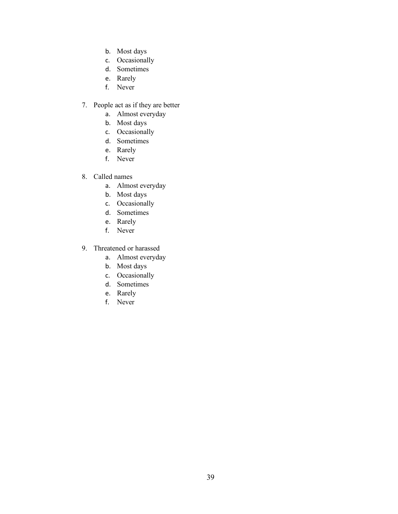- b. Most days
- c. Occasionally
- d. Sometimes
- e. Rarely
- f. Never
- 7. People act as if they are better
	- a. Almost everyday
	- b. Most days
	- c. Occasionally
	- d. Sometimes
	- e. Rarely
	- f. Never
- 8. Called names
	- a. Almost everyday
	- b. Most days
	- c. Occasionally
	- d. Sometimes
	- e. Rarely
	- f. Never
- 9. Threatened or harassed
	- a. Almost everyday
	- b. Most days
	- c. Occasionally
	- d. Sometimes
	- e. Rarely
	- f. Never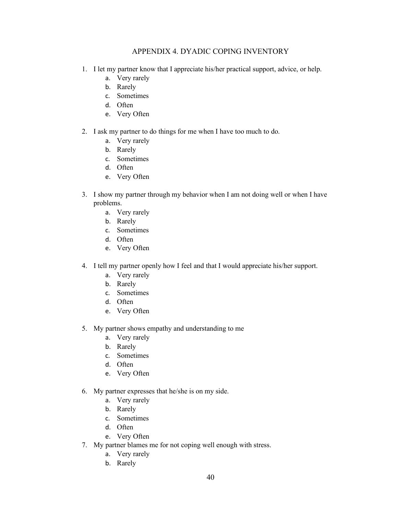## APPENDIX 4. DYADIC COPING INVENTORY

- 1. I let my partner know that I appreciate his/her practical support, advice, or help.
	- a. Very rarely
	- b. Rarely
	- c. Sometimes
	- d. Often
	- e. Very Often
- 2. I ask my partner to do things for me when I have too much to do.
	- a. Very rarely
	- b. Rarely
	- c. Sometimes
	- d. Often
	- e. Very Often
- 3. I show my partner through my behavior when I am not doing well or when I have problems.
	- a. Very rarely
	- b. Rarely
	- c. Sometimes
	- d. Often
	- e. Very Often
- 4. I tell my partner openly how I feel and that I would appreciate his/her support.
	- a. Very rarely
	- b. Rarely
	- c. Sometimes
	- d. Often
	- e. Very Often
- 5. My partner shows empathy and understanding to me
	- a. Very rarely
	- b. Rarely
	- c. Sometimes
	- d. Often
	- e. Very Often
- 6. My partner expresses that he/she is on my side.
	- a. Very rarely
	- b. Rarely
	- c. Sometimes
	- d. Often
	- e. Very Often
- 7. My partner blames me for not coping well enough with stress.
	- a. Very rarely
	- b. Rarely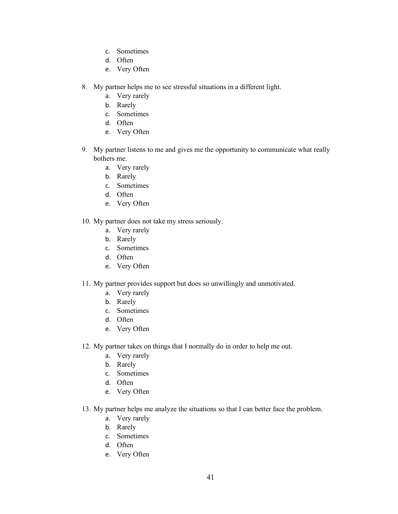- c. Sometimes
- d. Often
- e. Very Often
- 8. My partner helps me to see stressful situations in a different light.
	- a. Very rarely
	- b. Rarely
	- c. Sometimes
	- d. Often
	- e. Very Often
- 9. My partner listens to me and gives me the opportunity to communicate what really bothers me.
	- a. Very rarely
	- b. Rarely
	- c. Sometimes
	- d. Often
	- e. Very Often
- 10. My partner does not take my stress seriously.
	- a. Very rarely
	- b. Rarely
	- c. Sometimes
	- d. Often
	- e. Very Often
- 11. My partner provides support but does so unwillingly and unmotivated.
	- a. Very rarely
	- b. Rarely
	- c. Sometimes
	- d. Often
	- e. Very Often
- 12. My partner takes on things that I normally do in order to help me out.
	- a. Very rarely
	- b. Rarely
	- c. Sometimes
	- d. Often
	- e. Very Often
- 13. My partner helps me analyze the situations so that I can better face the problem.
	- a. Very rarely
	- b. Rarely
	- c. Sometimes
	- d. Often
	- e. Very Often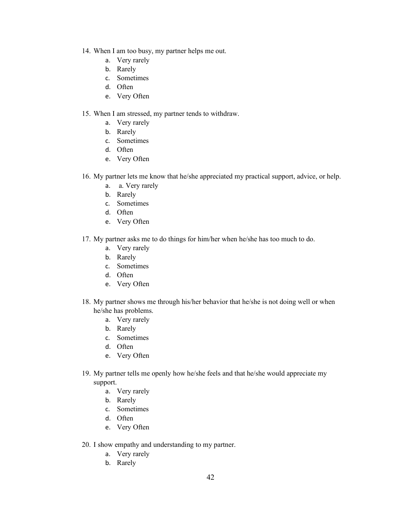- 14. When I am too busy, my partner helps me out.
	- a. Very rarely
	- b. Rarely
	- c. Sometimes
	- d. Often
	- e. Very Often

#### 15. When I am stressed, my partner tends to withdraw.

- a. Very rarely
- b. Rarely
- c. Sometimes
- d. Often
- e. Very Often
- 16. My partner lets me know that he/she appreciated my practical support, advice, or help.
	- a. a. Very rarely
	- b. Rarely
	- c. Sometimes
	- d. Often
	- e. Very Often
- 17. My partner asks me to do things for him/her when he/she has too much to do.
	- a. Very rarely
	- b. Rarely
	- c. Sometimes
	- d. Often
	- e. Very Often
- 18. My partner shows me through his/her behavior that he/she is not doing well or when he/she has problems.
	- a. Very rarely
	- b. Rarely
	- c. Sometimes
	- d. Often
	- e. Very Often
- 19. My partner tells me openly how he/she feels and that he/she would appreciate my support.
	- a. Very rarely
	- b. Rarely
	- c. Sometimes
	- d. Often
	- e. Very Often
- 20. I show empathy and understanding to my partner.
	- a. Very rarely
	- b. Rarely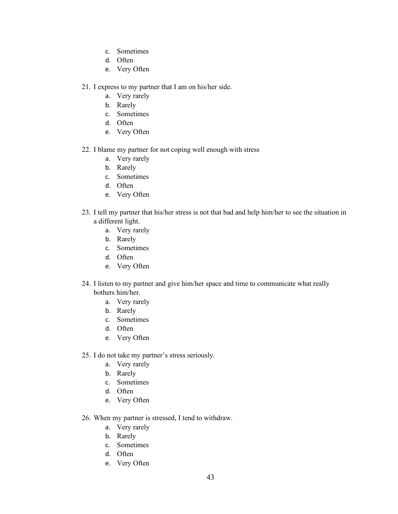- c. Sometimes
- d. Often
- e. Very Often
- 21. I express to my partner that I am on his/her side.
	- a. Very rarely
	- b. Rarely
	- c. Sometimes
	- d. Often
	- e. Very Often
- 22. I blame my partner for not coping well enough with stress
	- a. Very rarely
	- b. Rarely
	- c. Sometimes
	- d. Often
	- e. Very Often
- 23. I tell my partner that his/her stress is not that bad and help him/her to see the situation in a different light.
	- a. Very rarely
	- b. Rarely
	- c. Sometimes
	- d. Often
	- e. Very Often
- 24. I listen to my partner and give him/her space and time to communicate what really bothers him/her.
	- a. Very rarely
	- b. Rarely
	- c. Sometimes
	- d. Often
	- e. Very Often
- 25. I do not take my partner's stress seriously.
	- a. Very rarely
	- b. Rarely
	- c. Sometimes
	- d. Often
	- e. Very Often
- 26. When my partner is stressed, I tend to withdraw.
	- a. Very rarely
	- b. Rarely
	- c. Sometimes
	- d. Often
	- e. Very Often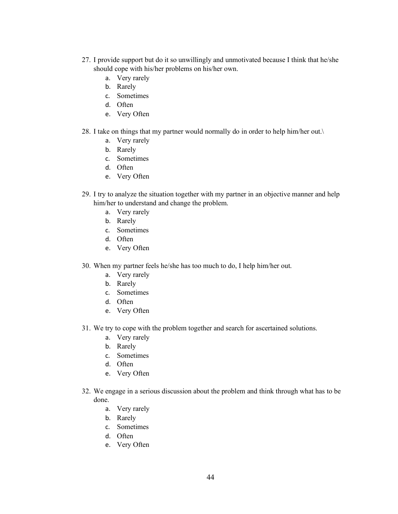- 27. I provide support but do it so unwillingly and unmotivated because I think that he/she should cope with his/her problems on his/her own.
	- a. Very rarely
	- b. Rarely
	- c. Sometimes
	- d. Often
	- e. Very Often
- 28. I take on things that my partner would normally do in order to help him/her out.\
	- a. Very rarely
	- b. Rarely
	- c. Sometimes
	- d. Often
	- e. Very Often
- 29. I try to analyze the situation together with my partner in an objective manner and help him/her to understand and change the problem.
	- a. Very rarely
	- b. Rarely
	- c. Sometimes
	- d. Often
	- e. Very Often
- 30. When my partner feels he/she has too much to do, I help him/her out.
	- a. Very rarely
	- b. Rarely
	- c. Sometimes
	- d. Often
	- e. Very Often
- 31. We try to cope with the problem together and search for ascertained solutions.
	- a. Very rarely
	- b. Rarely
	- c. Sometimes
	- d. Often
	- e. Very Often
- 32. We engage in a serious discussion about the problem and think through what has to be done.
	- a. Very rarely
	- b. Rarely
	- c. Sometimes
	- d. Often
	- e. Very Often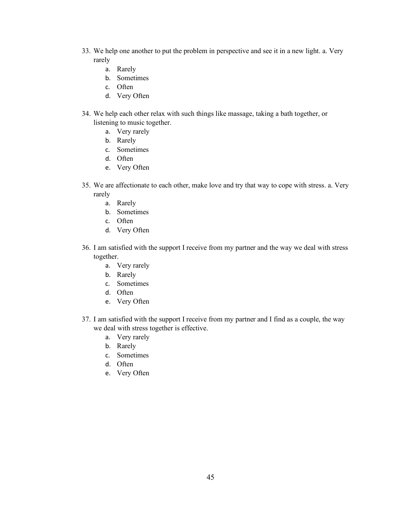- 33. We help one another to put the problem in perspective and see it in a new light. a. Very rarely
	- a. Rarely
	- b. Sometimes
	- c. Often
	- d. Very Often
- 34. We help each other relax with such things like massage, taking a bath together, or listening to music together.
	- a. Very rarely
	- b. Rarely
	- c. Sometimes
	- d. Often
	- e. Very Often
- 35. We are affectionate to each other, make love and try that way to cope with stress. a. Very rarely
	- a. Rarely
	- b. Sometimes
	- c. Often
	- d. Very Often
- 36. I am satisfied with the support I receive from my partner and the way we deal with stress together.
	- a. Very rarely
	- b. Rarely
	- c. Sometimes
	- d. Often
	- e. Very Often
- 37. I am satisfied with the support I receive from my partner and I find as a couple, the way we deal with stress together is effective.
	- a. Very rarely
	- b. Rarely
	- c. Sometimes
	- d. Often
	- e. Very Often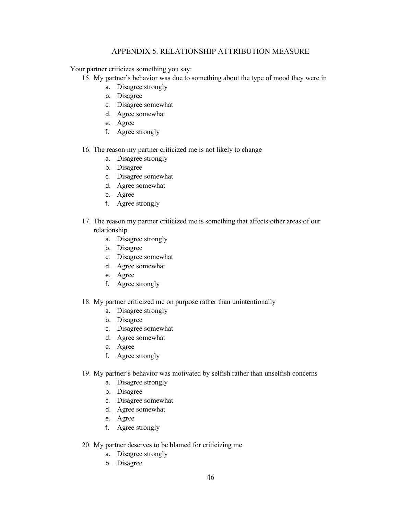## APPENDIX 5. RELATIONSHIP ATTRIBUTION MEASURE

Your partner criticizes something you say:

15. My partner's behavior was due to something about the type of mood they were in

- a. Disagree strongly
- b. Disagree
- c. Disagree somewhat
- d. Agree somewhat
- e. Agree
- f. Agree strongly

## 16. The reason my partner criticized me is not likely to change

- a. Disagree strongly
- b. Disagree
- c. Disagree somewhat
- d. Agree somewhat
- e. Agree
- f. Agree strongly
- 17. The reason my partner criticized me is something that affects other areas of our relationship
	- a. Disagree strongly
	- b. Disagree
	- c. Disagree somewhat
	- d. Agree somewhat
	- e. Agree
	- f. Agree strongly

#### 18. My partner criticized me on purpose rather than unintentionally

- a. Disagree strongly
- b. Disagree
- c. Disagree somewhat
- d. Agree somewhat
- e. Agree
- f. Agree strongly

#### 19. My partner's behavior was motivated by selfish rather than unselfish concerns

- a. Disagree strongly
- b. Disagree
- c. Disagree somewhat
- d. Agree somewhat
- e. Agree
- f. Agree strongly
- 20. My partner deserves to be blamed for criticizing me
	- a. Disagree strongly
	- b. Disagree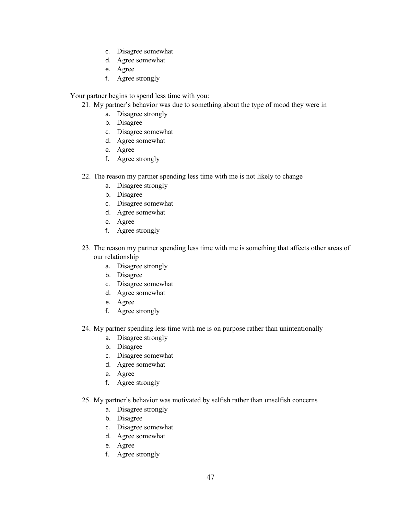- c. Disagree somewhat
- d. Agree somewhat
- e. Agree
- f. Agree strongly

Your partner begins to spend less time with you:

- 21. My partner's behavior was due to something about the type of mood they were in
	- a. Disagree strongly
	- b. Disagree
	- c. Disagree somewhat
	- d. Agree somewhat
	- e. Agree
	- f. Agree strongly
- 22. The reason my partner spending less time with me is not likely to change
	- a. Disagree strongly
	- b. Disagree
	- c. Disagree somewhat
	- d. Agree somewhat
	- e. Agree
	- f. Agree strongly
- 23. The reason my partner spending less time with me is something that affects other areas of our relationship
	- a. Disagree strongly
	- b. Disagree
	- c. Disagree somewhat
	- d. Agree somewhat
	- e. Agree
	- f. Agree strongly
- 24. My partner spending less time with me is on purpose rather than unintentionally
	- a. Disagree strongly
	- b. Disagree
	- c. Disagree somewhat
	- d. Agree somewhat
	- e. Agree
	- f. Agree strongly
- 25. My partner's behavior was motivated by selfish rather than unselfish concerns
	- a. Disagree strongly
	- b. Disagree
	- c. Disagree somewhat
	- d. Agree somewhat
	- e. Agree
	- f. Agree strongly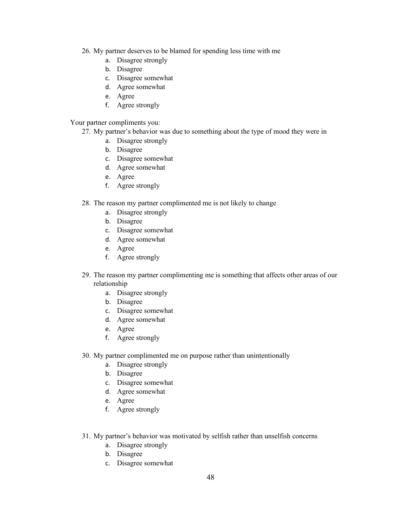- 26. My partner deserves to be blamed for spending less time with me
	- a. Disagree strongly
	- b. Disagree
	- c. Disagree somewhat
	- d. Agree somewhat
	- e. Agree
	- f. Agree strongly

#### Your partner compliments you:

- 27. My partner's behavior was due to something about the type of mood they were in
	- a. Disagree strongly
	- b. Disagree
	- c. Disagree somewhat
	- d. Agree somewhat
	- e. Agree
	- f. Agree strongly

#### 28. The reason my partner complimented me is not likely to change

- a. Disagree strongly
- b. Disagree
- c. Disagree somewhat
- d. Agree somewhat
- e. Agree
- f. Agree strongly
- 29. The reason my partner complimenting me is something that affects other areas of our relationship
	- a. Disagree strongly
	- b. Disagree
	- c. Disagree somewhat
	- d. Agree somewhat
	- e. Agree
	- f. Agree strongly
- 30. My partner complimented me on purpose rather than unintentionally
	- a. Disagree strongly
	- b. Disagree
	- c. Disagree somewhat
	- d. Agree somewhat
	- e. Agree
	- f. Agree strongly
- 31. My partner's behavior was motivated by selfish rather than unselfish concerns
	- a. Disagree strongly
	- b. Disagree
	- c. Disagree somewhat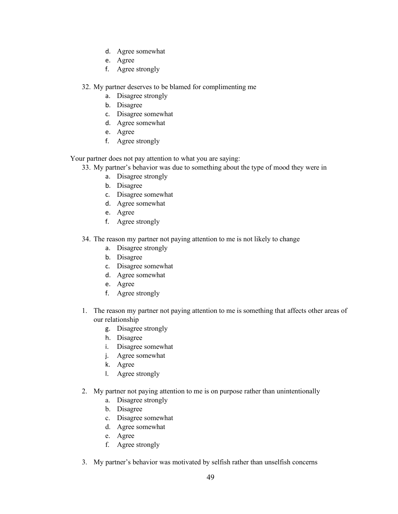- d. Agree somewhat
- e. Agree
- f. Agree strongly

32. My partner deserves to be blamed for complimenting me

- a. Disagree strongly
- b. Disagree
- c. Disagree somewhat
- d. Agree somewhat
- e. Agree
- f. Agree strongly

Your partner does not pay attention to what you are saying:

- 33. My partner's behavior was due to something about the type of mood they were in
	- a. Disagree strongly
	- b. Disagree
	- c. Disagree somewhat
	- d. Agree somewhat
	- e. Agree
	- f. Agree strongly
- 34. The reason my partner not paying attention to me is not likely to change
	- a. Disagree strongly
	- b. Disagree
	- c. Disagree somewhat
	- d. Agree somewhat
	- e. Agree
	- f. Agree strongly
- 1. The reason my partner not paying attention to me is something that affects other areas of our relationship
	- g. Disagree strongly
	- h. Disagree
	- i. Disagree somewhat
	- j. Agree somewhat
	- k. Agree
	- l. Agree strongly
- 2. My partner not paying attention to me is on purpose rather than unintentionally
	- a. Disagree strongly
	- b. Disagree
	- c. Disagree somewhat
	- d. Agree somewhat
	- e. Agree
	- f. Agree strongly
- 3. My partner's behavior was motivated by selfish rather than unselfish concerns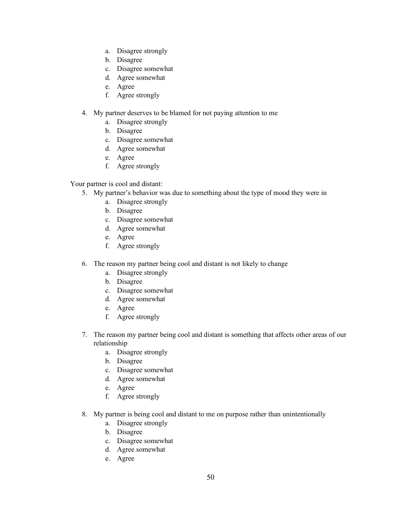- a. Disagree strongly
- b. Disagree
- c. Disagree somewhat
- d. Agree somewhat
- e. Agree
- f. Agree strongly
- 4. My partner deserves to be blamed for not paying attention to me
	- a. Disagree strongly
	- b. Disagree
	- c. Disagree somewhat
	- d. Agree somewhat
	- e. Agree
	- f. Agree strongly

Your partner is cool and distant:

- 5. My partner's behavior was due to something about the type of mood they were in
	- a. Disagree strongly
	- b. Disagree
	- c. Disagree somewhat
	- d. Agree somewhat
	- e. Agree
	- f. Agree strongly
- 6. The reason my partner being cool and distant is not likely to change
	- a. Disagree strongly
	- b. Disagree
	- c. Disagree somewhat
	- d. Agree somewhat
	- e. Agree
	- f. Agree strongly
- 7. The reason my partner being cool and distant is something that affects other areas of our relationship
	- a. Disagree strongly
	- b. Disagree
	- c. Disagree somewhat
	- d. Agree somewhat
	- e. Agree
	- f. Agree strongly
- 8. My partner is being cool and distant to me on purpose rather than unintentionally
	- a. Disagree strongly
	- b. Disagree
	- c. Disagree somewhat
	- d. Agree somewhat
	- e. Agree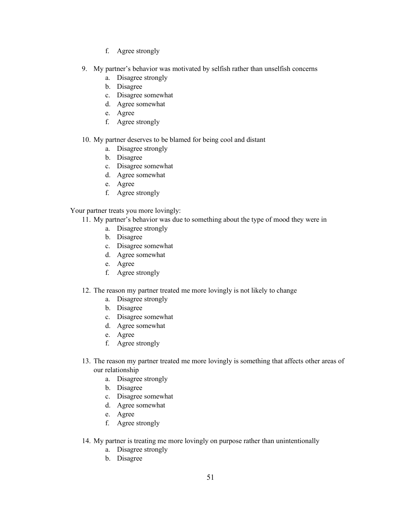- f. Agree strongly
- 9. My partner's behavior was motivated by selfish rather than unselfish concerns
	- a. Disagree strongly
	- b. Disagree
	- c. Disagree somewhat
	- d. Agree somewhat
	- e. Agree
	- f. Agree strongly

### 10. My partner deserves to be blamed for being cool and distant

- a. Disagree strongly
- b. Disagree
- c. Disagree somewhat
- d. Agree somewhat
- e. Agree
- f. Agree strongly

### Your partner treats you more lovingly:

- 11. My partner's behavior was due to something about the type of mood they were in
	- a. Disagree strongly
	- b. Disagree
	- c. Disagree somewhat
	- d. Agree somewhat
	- e. Agree
	- f. Agree strongly

### 12. The reason my partner treated me more lovingly is not likely to change

- a. Disagree strongly
- b. Disagree
- c. Disagree somewhat
- d. Agree somewhat
- e. Agree
- f. Agree strongly
- 13. The reason my partner treated me more lovingly is something that affects other areas of our relationship
	- a. Disagree strongly
	- b. Disagree
	- c. Disagree somewhat
	- d. Agree somewhat
	- e. Agree
	- f. Agree strongly
- 14. My partner is treating me more lovingly on purpose rather than unintentionally
	- a. Disagree strongly
	- b. Disagree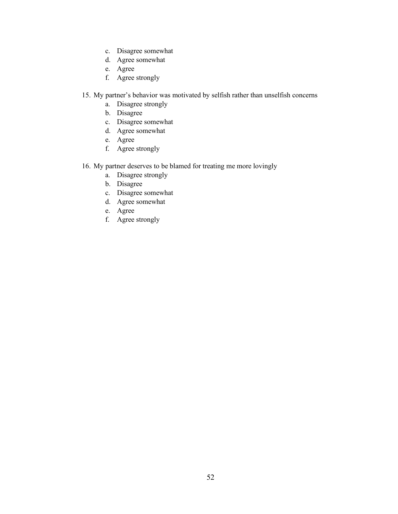- c. Disagree somewhat
- d. Agree somewhat
- e. Agree
- f. Agree strongly
- 15. My partner's behavior was motivated by selfish rather than unselfish concerns
	- a. Disagree strongly
	- b. Disagree
	- c. Disagree somewhat
	- d. Agree somewhat
	- e. Agree
	- f. Agree strongly
- 16. My partner deserves to be blamed for treating me more lovingly
	- a. Disagree strongly
	- b. Disagree
	- c. Disagree somewhat
	- d. Agree somewhat
	- e. Agree
	- f. Agree strongly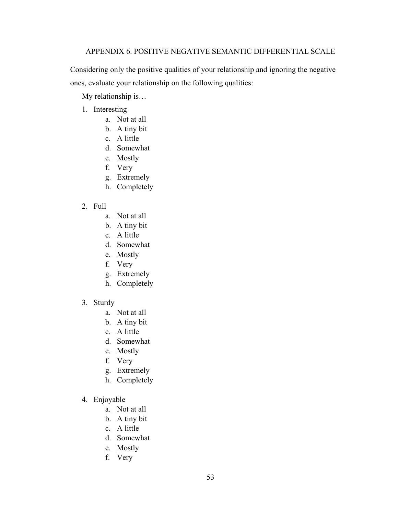## APPENDIX 6. POSITIVE NEGATIVE SEMANTIC DIFFERENTIAL SCALE

Considering only the positive qualities of your relationship and ignoring the negative ones, evaluate your relationship on the following qualities:

My relationship is…

- 1. Interesting
	- a. Not at all
	- b. A tiny bit
	- c. A little
	- d. Somewhat
	- e. Mostly
	- f. Very
	- g. Extremely
	- h. Completely
- 2. Full
	- a. Not at all
	- b. A tiny bit
	- c. A little
	- d. Somewhat
	- e. Mostly
	- f. Very
	- g. Extremely
	- h. Completely
- 3. Sturdy
	- a. Not at all
	- b. A tiny bit
	- c. A little
	- d. Somewhat
	- e. Mostly
	- f. Very
	- g. Extremely
	- h. Completely
- 4. Enjoyable
	- a. Not at all
	- b. A tiny bit
	- c. A little
	- d. Somewhat
	- e. Mostly
	- f. Very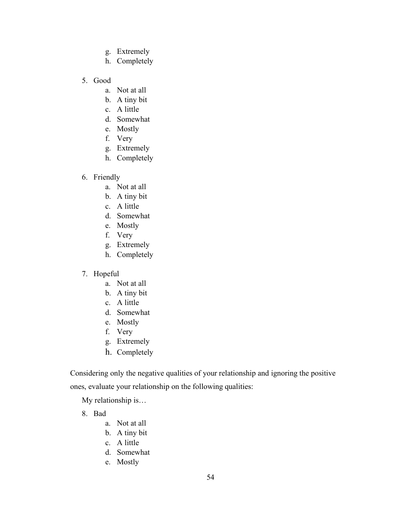- g. Extremely
- h. Completely
- 5. Good
	- a. Not at all
	- b. A tiny bit
	- c. A little
	- d. Somewhat
	- e. Mostly
	- f. Very
	- g. Extremely
	- h. Completely
- 6. Friendly
	- a. Not at all
	- b. A tiny bit
	- c. A little
	- d. Somewhat
	- e. Mostly
	- f. Very
	- g. Extremely
	- h. Completely
- 7. Hopeful
	- a. Not at all
	- b. A tiny bit
	- c. A little
	- d. Somewhat
	- e. Mostly
	- f. Very
	- g. Extremely
	- h. Completely

Considering only the negative qualities of your relationship and ignoring the positive

ones, evaluate your relationship on the following qualities:

My relationship is…

- 8. Bad
	- a. Not at all
	- b. A tiny bit
	- c. A little
	- d. Somewhat
	- e. Mostly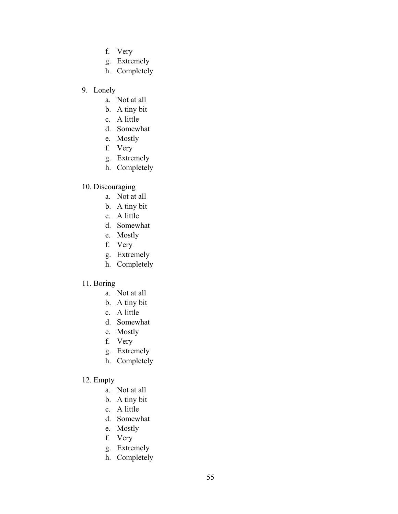- f. Very
- g. Extremely
- h. Completely
- 9. Lonely
	- a. Not at all
	- b. A tiny bit
	- c. A little
	- d. Somewhat
	- e. Mostly
	- f. Very
	- g. Extremely
	- h. Completely

# 10. Discouraging

- a. Not at all
- b. A tiny bit
- c. A little
- d. Somewhat
- e. Mostly
- f. Very
- g. Extremely
- h. Completely

# 11. Boring

- a. Not at all
- b. A tiny bit
- c. A little
- d. Somewhat
- e. Mostly
- f. Very
- g. Extremely
- h. Completely

# 12. Empty

- a. Not at all
- b. A tiny bit
- c. A little
- d. Somewhat
- e. Mostly
- f. Very
- g. Extremely
- h. Completely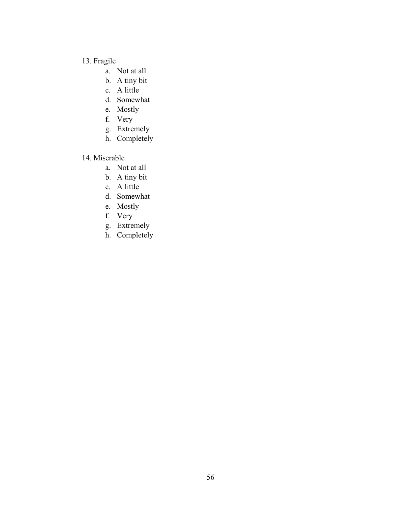# 13. Fragile

- a. Not at all
- b. A tiny bit
- c. A little
- d. Somewhat
- e. Mostly
- f. Very
- g. Extremely
- h. Completely

# 14. Miserable

- a. Not at all
- b. A tiny bit
- c. A little
- d. Somewhat
- e. Mostly
- f. Very
- g. Extremely
- h. Completely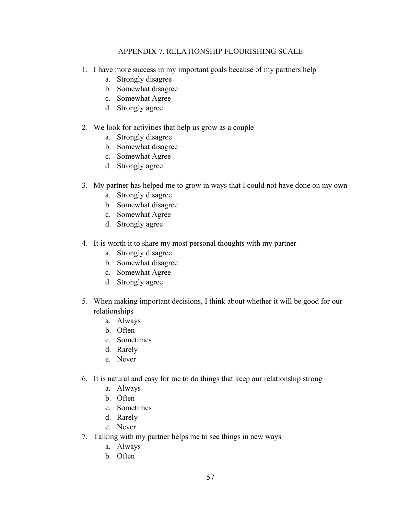## APPENDIX 7. RELATIONSHIP FLOURISHING SCALE

- 1. I have more success in my important goals because of my partners help
	- a. Strongly disagree
	- b. Somewhat disagree
	- c. Somewhat Agree
	- d. Strongly agree
- 2. We look for activities that help us grow as a couple
	- a. Strongly disagree
	- b. Somewhat disagree
	- c. Somewhat Agree
	- d. Strongly agree
- 3. My partner has helped me to grow in ways that I could not have done on my own
	- a. Strongly disagree
	- b. Somewhat disagree
	- c. Somewhat Agree
	- d. Strongly agree
- 4. It is worth it to share my most personal thoughts with my partner
	- a. Strongly disagree
	- b. Somewhat disagree
	- c. Somewhat Agree
	- d. Strongly agree
- 5. When making important decisions, I think about whether it will be good for our relationships
	- a. Always
	- b. Often
	- c. Sometimes
	- d. Rarely
	- e. Never
- 6. It is natural and easy for me to do things that keep our relationship strong
	- a. Always
	- b. Often
	- c. Sometimes
	- d. Rarely
	- e. Never
- 7. Talking with my partner helps me to see things in new ways
	- a. Always
	- b. Often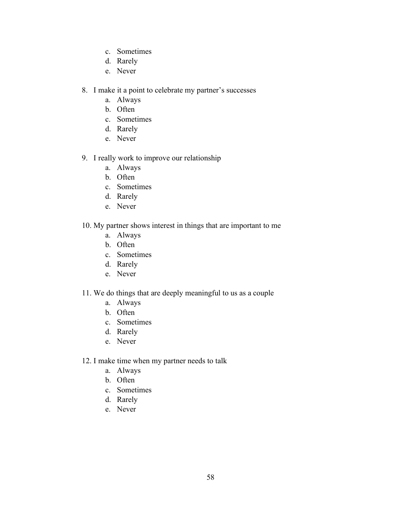- c. Sometimes
- d. Rarely
- e. Never
- 8. I make it a point to celebrate my partner's successes
	- a. Always
	- b. Often
	- c. Sometimes
	- d. Rarely
	- e. Never
- 9. I really work to improve our relationship
	- a. Always
	- b. Often
	- c. Sometimes
	- d. Rarely
	- e. Never
- 10. My partner shows interest in things that are important to me
	- a. Always
	- b. Often
	- c. Sometimes
	- d. Rarely
	- e. Never
- 11. We do things that are deeply meaningful to us as a couple
	- a. Always
	- b. Often
	- c. Sometimes
	- d. Rarely
	- e. Never
- 12. I make time when my partner needs to talk
	- a. Always
	- b. Often
	- c. Sometimes
	- d. Rarely
	- e. Never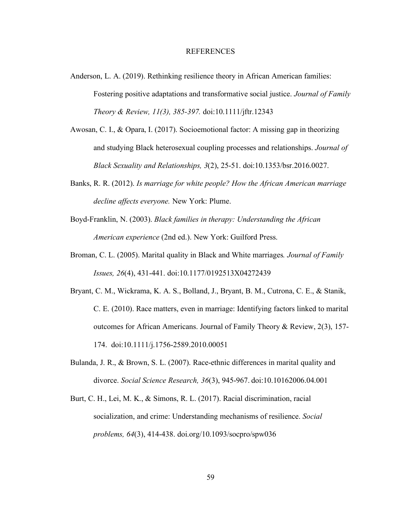#### REFERENCES

- Anderson, L. A. (2019). Rethinking resilience theory in African American families: Fostering positive adaptations and transformative social justice. *Journal of Family Theory & Review, 11(3), 385-397.* doi[:10.1111/jftr.12343](https://doi-org.ezproxy.uky.edu/10.1111/jftr.12343)
- Awosan, C. I., & Opara, I. (2017). Socioemotional factor: A missing gap in theorizing and studying Black heterosexual coupling processes and relationships. *Journal of Black Sexuality and Relationships, 3*(2), 25-51. [doi:10.1353/bsr.2016.0027.](http://doi.org/10.1353/bsr.2016.0027)
- Banks, R. R. (2012). *Is marriage for white people? How the African American marriage decline affects everyone.* New York: Plume.
- Boyd-Franklin, N. (2003). *Black families in therapy: Understanding the African American experience* (2nd ed.). New York: Guilford Press.
- Broman, C. L. (2005). Marital quality in Black and White marriages*. Journal of Family Issues, 26*(4), 431-441. [doi:10.1177/0192513X04272439](https://doi-org.ezproxy.uky.edu/10.1177%2F0192513X04272439)
- Bryant, C. M., Wickrama, K. A. S., Bolland, J., Bryant, B. M., Cutrona, C. E., & Stanik, C. E. (2010). Race matters, even in marriage: Identifying factors linked to marital outcomes for African Americans. Journal of Family Theory & Review, 2(3), 157- 174. doi[:10.1111/j.1756-2589.2010.00051](https://doi.org/10.1111/j.1756-2589.2010.00051.x)
- Bulanda, J. R., & Brown, S. L. (2007). Race-ethnic differences in marital quality and divorce. *Social Science Research, 36*(3), 945-967. [doi:10.10162006.04.001](https://doi.org/10.1016/j.ssresearch.2006.04.001)
- Burt, C. H., Lei, M. K., & Simons, R. L. (2017). Racial discrimination, racial socialization, and crime: Understanding mechanisms of resilience. *Social problems, 64*(3), 414-438. [doi.org/10.1093/socpro/spw036](https://doi.org/10.1093/socpro/spw036)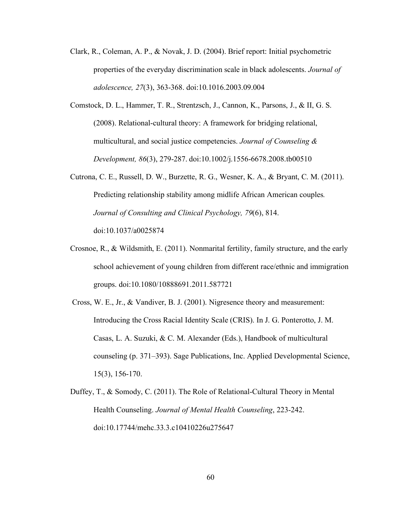- Clark, R., Coleman, A. P., & Novak, J. D. (2004). Brief report: Initial psychometric properties of the everyday discrimination scale in black adolescents. *Journal of adolescence, 27*(3), 363-368. [doi:10.1016.2003.09.004](https://doi.org/10.1016/j.adolescence.2003.09.004)
- Comstock, D. L., Hammer, T. R., Strentzsch, J., Cannon, K., Parsons, J., & II, G. S. (2008). Relational‐cultural theory: A framework for bridging relational, multicultural, and social justice competencies. *Journal of Counseling & Development, 86*(3), 279-287. [doi:10.1002/j.1556-6678.2008.tb00510](https://doi.org/10.1002/j.1556-6678.2008.tb00510.x)
- Cutrona, C. E., Russell, D. W., Burzette, R. G., Wesner, K. A., & Bryant, C. M. (2011). Predicting relationship stability among midlife African American couples*. Journal of Consulting and Clinical Psychology, 79*(6), 814. [doi:10.1037/a0025874](https://psycnet.apa.org/doi/10.1037/a0025874)
- Crosnoe, R., & Wildsmith, E. (2011). Nonmarital fertility, family structure, and the early school achievement of young children from different race/ethnic and immigration groups. [doi:10.1080/10888691.2011.587721](https://doi.org/10.1080/10888691.2011.587721)
- Cross, W. E., Jr., & Vandiver, B. J. (2001). Nigresence theory and measurement: Introducing the Cross Racial Identity Scale (CRIS). In J. G. Ponterotto, J. M. Casas, L. A. Suzuki, & C. M. Alexander (Eds.), Handbook of multicultural counseling (p. 371–393). Sage Publications, Inc. Applied Developmental Science, 15(3), 156-170.
- Duffey, T., & Somody, C. (2011). The Role of Relational-Cultural Theory in Mental Health Counseling. *Journal of Mental Health Counseling*, 223-242. [doi:10.17744/mehc.33.3.c10410226u275647](https://doi.org/10.17744/mehc.33.3.c10410226u275647)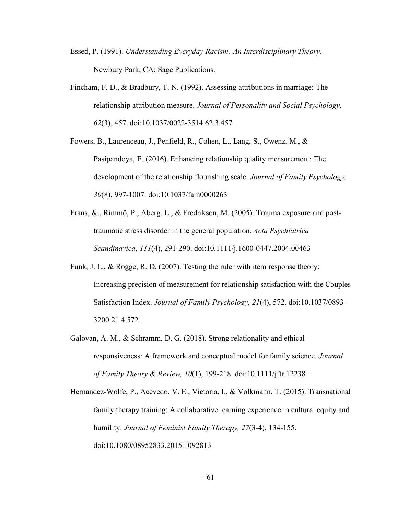- Essed, P. (1991). *Understanding Everyday Racism: An Interdisciplinary Theory*. Newbury Park, CA: Sage Publications.
- Fincham, F. D., & Bradbury, T. N. (1992). Assessing attributions in marriage: The relationship attribution measure. *Journal of Personality and Social Psychology, 62*(3), 457. [doi:10.1037/0022-3514.62.3.457](https://psycnet.apa.org/doi/10.1037/0022-3514.62.3.457)
- Fowers, B., Laurenceau, J., Penfield, R., Cohen, L., Lang, S., Owenz, M., & Pasipandoya, E. (2016). Enhancing relationship quality measurement: The development of the relationship flourishing scale. *Journal of Family Psychology, 30*(8), 997-1007. [doi:10.1037/fam0000263](https://psycnet.apa.org/doi/10.1037/fam0000263)
- Frans, &., Rimmö, P., Åberg, L., & Fredrikson, M. (2005). Trauma exposure and post‐ traumatic stress disorder in the general population. *Acta Psychiatrica Scandinavica, 111*(4), 291-290. [doi:10.1111/j.1600-0447.2004.00463](https://doi.org/10.1111/j.1600-0447.2004.00463.x)
- Funk, J. L., & Rogge, R. D. (2007). Testing the ruler with item response theory: Increasing precision of measurement for relationship satisfaction with the Couples Satisfaction Index. *Journal of Family Psychology, 21*(4), 572. [doi:10.1037/0893-](https://psycnet.apa.org/doi/10.1037/0893-3200.21.4.572) [3200.21.4.572](https://psycnet.apa.org/doi/10.1037/0893-3200.21.4.572)
- Galovan, A. M., & Schramm, D. G. (2018). Strong relationality and ethical responsiveness: A framework and conceptual model for family science. *Journal of Family Theory & Review, 10*(1), 199-218. [doi:10.1111/jftr.12238](https://doi.org/10.1111/jftr.12238)
- Hernandez-Wolfe, P., Acevedo, V. E., Victoria, I., & Volkmann, T. (2015). Transnational family therapy training: A collaborative learning experience in cultural equity and humility. *Journal of Feminist Family Therapy, 27*(3-4), 134-155. [doi:10.1080/08952833.2015.1092813](https://doi.org/10.1080/08952833.2015.1092813)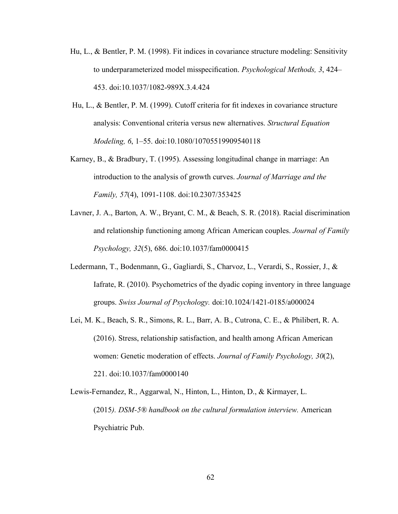- Hu, L., & Bentler, P. M. (1998). Fit indices in covariance structure modeling: Sensitivity to underparameterized model misspecification. *Psychological Methods, 3*, 424– 453. [doi:10.1037/1082-989X.3.4.424](https://psycnet.apa.org/doi/10.1037/1082-989X.3.4.424)
- Hu, L., & Bentler, P. M. (1999). Cutoff criteria for fit indexes in covariance structure analysis: Conventional criteria versus new alternatives. *Structural Equation Modeling, 6*, 1–55. [doi:10.1080/10705519909540118](https://doi.org/10.1080/10705519909540118)
- Karney, B., & Bradbury, T. (1995). Assessing longitudinal change in marriage: An introduction to the analysis of growth curves. *Journal of Marriage and the Family, 57*(4), 1091-1108. doi:10.2307/353425
- Lavner, J. A., Barton, A. W., Bryant, C. M., & Beach, S. R. (2018). Racial discrimination and relationship functioning among African American couples. *Journal of Family Psychology, 32*(5), 686. [doi:10.1037/fam0000415](https://psycnet.apa.org/doi/10.1037/fam0000415)
- Ledermann, T., Bodenmann, G., Gagliardi, S., Charvoz, L., Verardi, S., Rossier, J., & Iafrate, R. (2010). Psychometrics of the dyadic coping inventory in three language groups. *Swiss Journal of Psychology.* [doi:10.1024/1421-0185/a000024](https://doi.org/10.1024/1421-0185/a000024)
- Lei, M. K., Beach, S. R., Simons, R. L., Barr, A. B., Cutrona, C. E., & Philibert, R. A. (2016). Stress, relationship satisfaction, and health among African American women: Genetic moderation of effects. *Journal of Family Psychology, 30*(2), 221. doi[:10.1037/fam0000140](https://dx.doi.org/10.1037%2Ffam0000140)
- Lewis-Fernandez, R., Aggarwal, N., Hinton, L., Hinton, D., & Kirmayer, L. (2015*). DSM-5® handbook on the cultural formulation interview.* American Psychiatric Pub.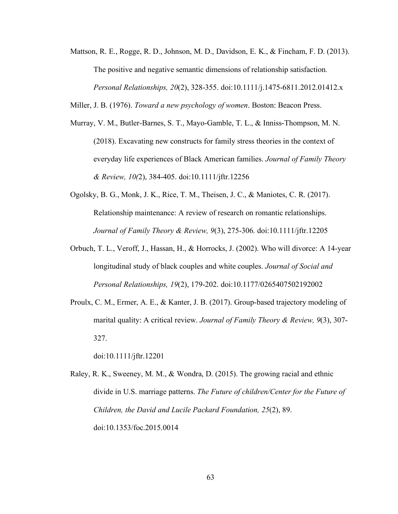Mattson, R. E., Rogge, R. D., Johnson, M. D., Davidson, E. K., & Fincham, F. D. (2013). The positive and negative semantic dimensions of relationship satisfaction*. Personal Relationships, 20*(2), 328-355. [doi:10.1111/j.1475-6811.2012.01412.x](https://doi.org/10.1111/j.1475-6811.2012.01412.x)

Miller, J. B. (1976). *Toward a new psychology of women*. Boston: Beacon Press.

- Murray, V. M., Butler‐Barnes, S. T., Mayo‐Gamble, T. L., & Inniss‐Thompson, M. N. (2018). Excavating new constructs for family stress theories in the context of everyday life experiences of Black American families. *Journal of Family Theory & Review, 10(*2), 384-405. [doi:10.1111/jftr.12256](https://doi.org/10.1111/jftr.12256)
- Ogolsky, B. G., Monk, J. K., Rice, T. M., Theisen, J. C., & Maniotes, C. R. (2017). Relationship maintenance: A review of research on romantic relationships. *Journal of Family Theory & Review, 9*(3), 275-306. [doi:10.1111/jftr.12205](https://doi.org/10.1111/jftr.12205)
- Orbuch, T. L., Veroff, J., Hassan, H., & Horrocks, J. (2002). Who will divorce: A 14-year longitudinal study of black couples and white couples. *Journal of Social and Personal Relationships, 19*(2), 179-202. [doi:10.1177/0265407502192002](https://doi.org/10.1177%2F0265407502192002)
- Proulx, C. M., Ermer, A. E., & Kanter, J. B. (2017). Group-based trajectory modeling of marital quality: A critical review. *Journal of Family Theory & Review, 9*(3), 307- 327.

[doi:10.1111/jftr.12201](https://doi.org/10.1111/jftr.12201)

Raley, R. K., Sweeney, M. M., & Wondra, D. (2015). The growing racial and ethnic divide in U.S. marriage patterns. *The Future of children/Center for the Future of Children, the David and Lucile Packard Foundation, 25*(2), 89. doi:10.1353/foc.2015.0014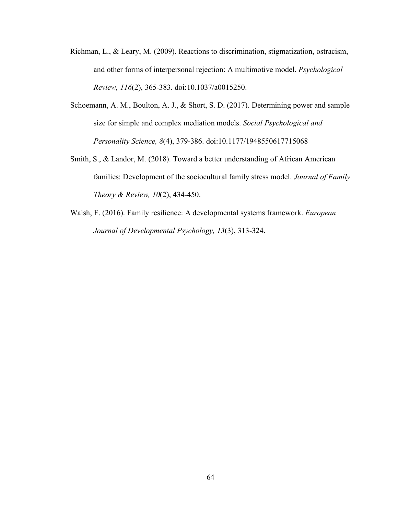- Richman, L., & Leary, M. (2009). Reactions to discrimination, stigmatization, ostracism, and other forms of interpersonal rejection: A multimotive model. *Psychological Review, 116*(2), 365-383. doi:10.1037/a0015250.
- Schoemann, A. M., Boulton, A. J., & Short, S. D. (2017). Determining power and sample size for simple and complex mediation models. *Social Psychological and Personality Science, 8*(4), 379-386. [doi:10.1177/1948550617715068](https://doi.org/10.1177%2F1948550617715068)
- Smith, S., & Landor, M. (2018). Toward a better understanding of African American families: Development of the sociocultural family stress model. *Journal of Family Theory & Review, 10*(2), 434-450.
- Walsh, F. (2016). Family resilience: A developmental systems framework. *European Journal of Developmental Psychology, 13*(3), 313-324.